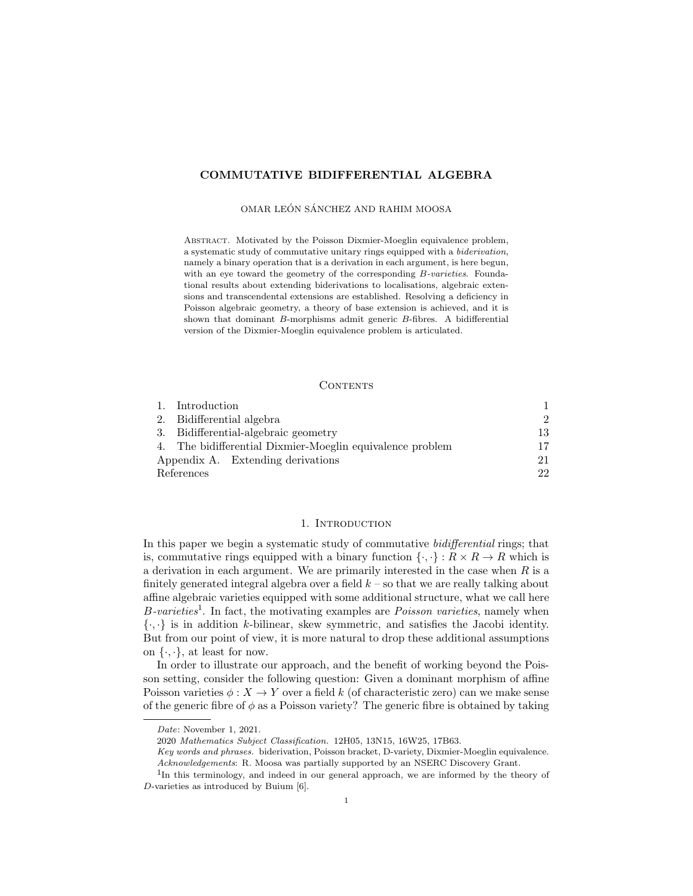# COMMUTATIVE BIDIFFERENTIAL ALGEBRA

OMAR LEÓN SÁNCHEZ AND RAHIM MOOSA

Abstract. Motivated by the Poisson Dixmier-Moeglin equivalence problem, a systematic study of commutative unitary rings equipped with a biderivation, namely a binary operation that is a derivation in each argument, is here begun, with an eye toward the geometry of the corresponding B-varieties. Foundational results about extending biderivations to localisations, algebraic extensions and transcendental extensions are established. Resolving a deficiency in Poisson algebraic geometry, a theory of base extension is achieved, and it is shown that dominant B-morphisms admit generic B-fibres. A bidifferential version of the Dixmier-Moeglin equivalence problem is articulated.

# **CONTENTS**

|                                   | 1. Introduction                                           |    |
|-----------------------------------|-----------------------------------------------------------|----|
|                                   | 2. Bidifferential algebra                                 | 2  |
|                                   | 3. Bidifferential-algebraic geometry                      | 13 |
|                                   | 4. The bidifferential Dixmier-Moeglin equivalence problem | 17 |
| Appendix A. Extending derivations |                                                           | 21 |
| References                        |                                                           | 22 |

### 1. INTRODUCTION

In this paper we begin a systematic study of commutative bidifferential rings; that is, commutative rings equipped with a binary function  $\{\cdot,\cdot\}: R \times R \to R$  which is a derivation in each argument. We are primarily interested in the case when  $R$  is a finitely generated integral algebra over a field  $k$  – so that we are really talking about affine algebraic varieties equipped with some additional structure, what we call here B-varieties<sup>1</sup>. In fact, the motivating examples are *Poisson varieties*, namely when  $\{\cdot,\cdot\}$  is in addition k-bilinear, skew symmetric, and satisfies the Jacobi identity. But from our point of view, it is more natural to drop these additional assumptions on  $\{\cdot,\cdot\}$ , at least for now.

In order to illustrate our approach, and the benefit of working beyond the Poisson setting, consider the following question: Given a dominant morphism of affine Poisson varieties  $\phi: X \to Y$  over a field k (of characteristic zero) can we make sense of the generic fibre of  $\phi$  as a Poisson variety? The generic fibre is obtained by taking

Date: November 1, 2021.

<sup>2020</sup> Mathematics Subject Classification. 12H05, 13N15, 16W25, 17B63.

Key words and phrases. biderivation, Poisson bracket, D-variety, Dixmier-Moeglin equivalence. Acknowledgements: R. Moosa was partially supported by an NSERC Discovery Grant.

<sup>&</sup>lt;sup>1</sup>In this terminology, and indeed in our general approach, we are informed by the theory of D-varieties as introduced by Buium [6].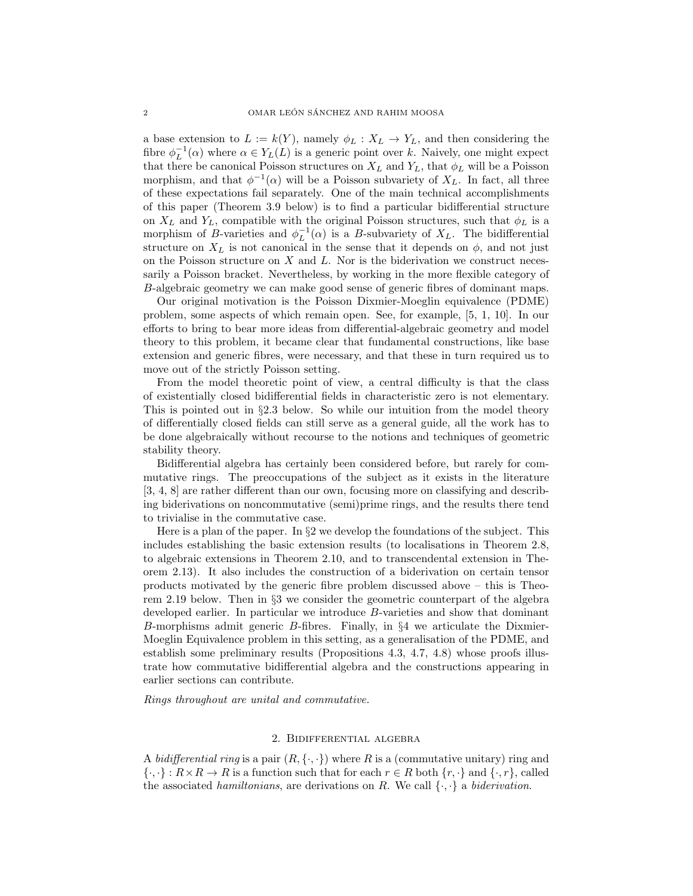a base extension to  $L := k(Y)$ , namely  $\phi_L : X_L \to Y_L$ , and then considering the fibre  $\phi_L^{-1}(\alpha)$  where  $\alpha \in Y_L(L)$  is a generic point over k. Naively, one might expect that there be canonical Poisson structures on  $X_L$  and  $Y_L$ , that  $\phi_L$  will be a Poisson morphism, and that  $\phi^{-1}(\alpha)$  will be a Poisson subvariety of  $X_L$ . In fact, all three of these expectations fail separately. One of the main technical accomplishments of this paper (Theorem 3.9 below) is to find a particular bidifferential structure on  $X_L$  and  $Y_L$ , compatible with the original Poisson structures, such that  $\phi_L$  is a morphism of B-varieties and  $\phi_L^{-1}(\alpha)$  is a B-subvariety of  $X_L$ . The bidifferential structure on  $X_L$  is not canonical in the sense that it depends on  $\phi$ , and not just on the Poisson structure on  $X$  and  $L$ . Nor is the biderivation we construct necessarily a Poisson bracket. Nevertheless, by working in the more flexible category of B-algebraic geometry we can make good sense of generic fibres of dominant maps.

Our original motivation is the Poisson Dixmier-Moeglin equivalence (PDME) problem, some aspects of which remain open. See, for example, [5, 1, 10]. In our efforts to bring to bear more ideas from differential-algebraic geometry and model theory to this problem, it became clear that fundamental constructions, like base extension and generic fibres, were necessary, and that these in turn required us to move out of the strictly Poisson setting.

From the model theoretic point of view, a central difficulty is that the class of existentially closed bidifferential fields in characteristic zero is not elementary. This is pointed out in  $\S 2.3$  below. So while our intuition from the model theory of differentially closed fields can still serve as a general guide, all the work has to be done algebraically without recourse to the notions and techniques of geometric stability theory.

Bidifferential algebra has certainly been considered before, but rarely for commutative rings. The preoccupations of the subject as it exists in the literature [3, 4, 8] are rather different than our own, focusing more on classifying and describing biderivations on noncommutative (semi)prime rings, and the results there tend to trivialise in the commutative case.

Here is a plan of the paper. In  $\S 2$  we develop the foundations of the subject. This includes establishing the basic extension results (to localisations in Theorem 2.8, to algebraic extensions in Theorem 2.10, and to transcendental extension in Theorem 2.13). It also includes the construction of a biderivation on certain tensor products motivated by the generic fibre problem discussed above – this is Theorem 2.19 below. Then in §3 we consider the geometric counterpart of the algebra developed earlier. In particular we introduce B-varieties and show that dominant B-morphisms admit generic B-fibres. Finally, in §4 we articulate the Dixmier-Moeglin Equivalence problem in this setting, as a generalisation of the PDME, and establish some preliminary results (Propositions 4.3, 4.7, 4.8) whose proofs illustrate how commutative bidifferential algebra and the constructions appearing in earlier sections can contribute.

Rings throughout are unital and commutative.

### 2. Bidifferential algebra

A *bidifferential ring* is a pair  $(R, \{\cdot, \cdot\})$  where R is a (commutative unitary) ring and  $\{\cdot,\cdot\}: R \times R \to R$  is a function such that for each  $r \in R$  both  $\{r,\cdot\}$  and  $\{\cdot,r\}$ , called the associated hamiltonians, are derivations on R. We call  $\{\cdot,\cdot\}$  a biderivation.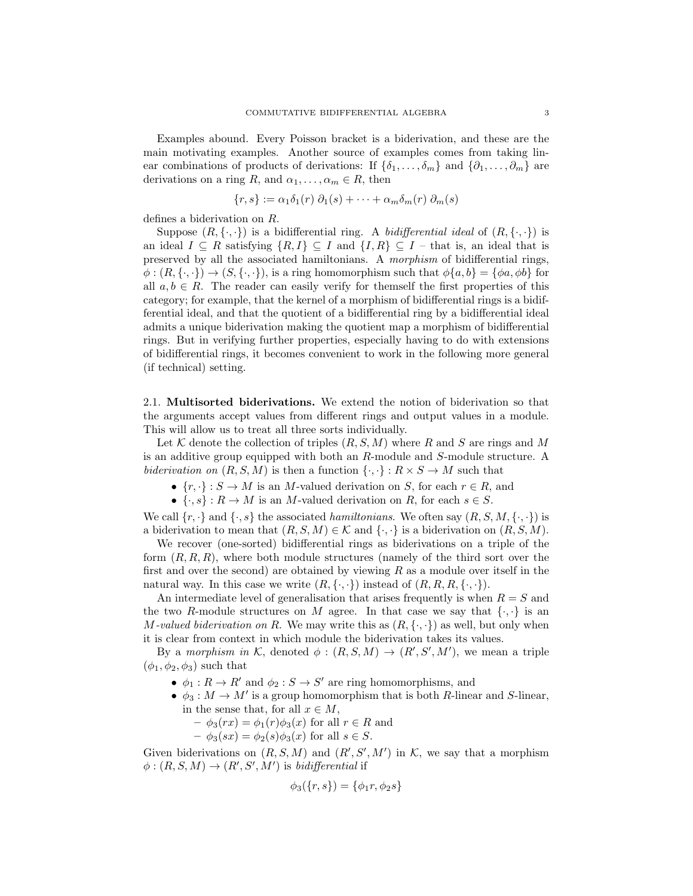Examples abound. Every Poisson bracket is a biderivation, and these are the main motivating examples. Another source of examples comes from taking linear combinations of products of derivations: If  $\{\delta_1, \ldots, \delta_m\}$  and  $\{\partial_1, \ldots, \partial_m\}$  are derivations on a ring R, and  $\alpha_1, \ldots, \alpha_m \in R$ , then

$$
\{r,s\} := \alpha_1 \delta_1(r) \; \partial_1(s) + \cdots + \alpha_m \delta_m(r) \; \partial_m(s)
$$

defines a biderivation on R.

Suppose  $(R, \{\cdot, \cdot\})$  is a bidifferential ring. A *bidifferential ideal* of  $(R, \{\cdot, \cdot\})$  is an ideal  $I \subseteq R$  satisfying  $\{R, I\} \subseteq I$  and  $\{I, R\} \subseteq I$  – that is, an ideal that is preserved by all the associated hamiltonians. A morphism of bidifferential rings,  $\phi: (R, \{\cdot, \cdot\}) \to (S, \{\cdot, \cdot\})$ , is a ring homomorphism such that  $\phi\{a, b\} = \{\phi a, \phi b\}$  for all  $a, b \in R$ . The reader can easily verify for themself the first properties of this category; for example, that the kernel of a morphism of bidifferential rings is a bidifferential ideal, and that the quotient of a bidifferential ring by a bidifferential ideal admits a unique biderivation making the quotient map a morphism of bidifferential rings. But in verifying further properties, especially having to do with extensions of bidifferential rings, it becomes convenient to work in the following more general (if technical) setting.

2.1. Multisorted biderivations. We extend the notion of biderivation so that the arguments accept values from different rings and output values in a module. This will allow us to treat all three sorts individually.

Let K denote the collection of triples  $(R, S, M)$  where R and S are rings and M is an additive group equipped with both an R-module and S-module structure. A biderivation on  $(R, S, M)$  is then a function  $\{\cdot, \cdot\}: R \times S \to M$  such that

- $\{r, \cdot\} : S \to M$  is an M-valued derivation on S, for each  $r \in R$ , and
- $\{\cdot, s\} : R \to M$  is an M-valued derivation on R, for each  $s \in S$ .

We call  $\{r, \cdot\}$  and  $\{\cdot, s\}$  the associated hamiltonians. We often say  $(R, S, M, \{\cdot, \cdot\})$  is a biderivation to mean that  $(R, S, M) \in \mathcal{K}$  and  $\{\cdot, \cdot\}$  is a biderivation on  $(R, S, M)$ .

We recover (one-sorted) bidifferential rings as biderivations on a triple of the form  $(R, R, R)$ , where both module structures (namely of the third sort over the first and over the second) are obtained by viewing  $R$  as a module over itself in the natural way. In this case we write  $(R, \{\cdot, \cdot\})$  instead of  $(R, R, R, \{\cdot, \cdot\})$ .

An intermediate level of generalisation that arises frequently is when  $R = S$  and the two R-module structures on M agree. In that case we say that  $\{\cdot,\cdot\}$  is an M-valued biderivation on R. We may write this as  $(R, \{\cdot, \cdot\})$  as well, but only when it is clear from context in which module the biderivation takes its values.

By a morphism in K, denoted  $\phi : (R, S, M) \to (R', S', M')$ , we mean a triple  $(\phi_1, \phi_2, \phi_3)$  such that

- $\phi_1: R \to R'$  and  $\phi_2: S \to S'$  are ring homomorphisms, and
- $\phi_3: M \to M'$  is a group homomorphism that is both R-linear and S-linear, in the sense that, for all  $x \in M$ ,
	- $-\phi_3(rx) = \phi_1(r)\phi_3(x)$  for all  $r \in R$  and
	- $-\phi_3(sx) = \phi_2(s)\phi_3(x)$  for all  $s \in S$ .

Given biderivations on  $(R, S, M)$  and  $(R', S', M')$  in K, we say that a morphism  $\phi: (R, S, M) \to (R', S', M')$  is bidifferential if

$$
\phi_3(\{r,s\}) = \{\phi_1r, \phi_2s\}
$$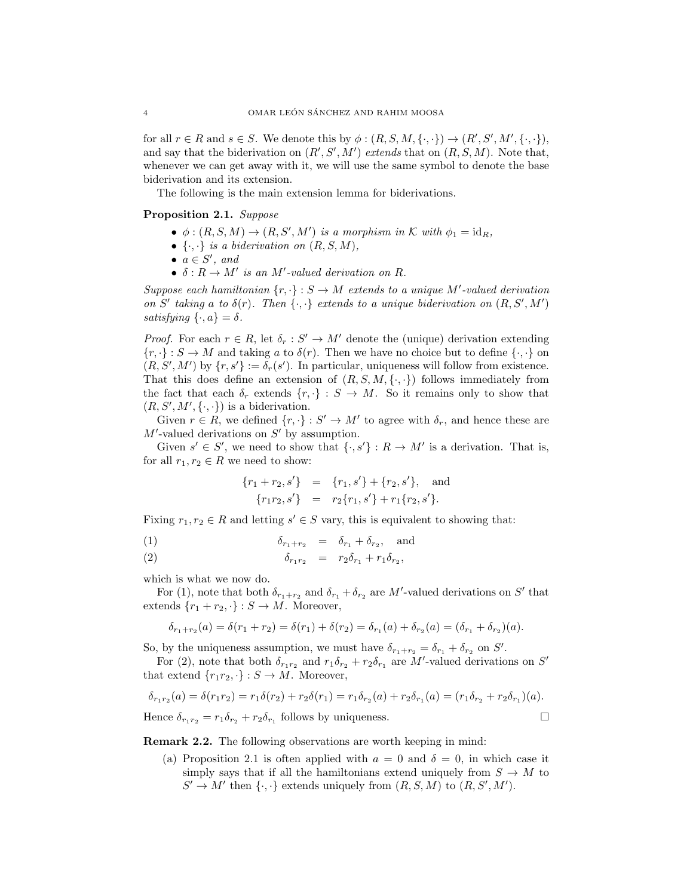for all  $r \in R$  and  $s \in S$ . We denote this by  $\phi : (R, S, M, \{\cdot, \cdot\}) \to (R', S', M', \{\cdot, \cdot\}),$ and say that the biderivation on  $(R', S', M')$  extends that on  $(R, S, M)$ . Note that, whenever we can get away with it, we will use the same symbol to denote the base biderivation and its extension.

The following is the main extension lemma for biderivations.

#### Proposition 2.1. Suppose

- $\phi: (R, S, M) \to (R, S', M')$  is a morphism in K with  $\phi_1 = id_R$ ,
- $\{\cdot,\cdot\}$  is a biderivation on  $(R, S, M)$ ,
- $a \in S'$ , and
- $\delta: R \to M'$  is an M'-valued derivation on R.

Suppose each hamiltonian  $\{r, \cdot\} : S \to M$  extends to a unique M'-valued derivation on S' taking a to  $\delta(r)$ . Then  $\{\cdot,\cdot\}$  extends to a unique biderivation on  $(R, S', M')$ satisfying  $\{\cdot, a\} = \delta$ .

*Proof.* For each  $r \in R$ , let  $\delta_r : S' \to M'$  denote the (unique) derivation extending  $\{r, \cdot\}: S \to M$  and taking a to  $\delta(r)$ . Then we have no choice but to define  $\{\cdot, \cdot\}$  on  $(R, S', M')$  by  $\{r, s'\} := \delta_r(s')$ . In particular, uniqueness will follow from existence. That this does define an extension of  $(R, S, M, \{\cdot, \cdot\})$  follows immediately from the fact that each  $\delta_r$  extends  $\{r, \cdot\} : S \to M$ . So it remains only to show that  $(R, S', M', \{\cdot, \cdot\})$  is a biderivation.

Given  $r \in R$ , we defined  $\{r, \cdot\} : S' \to M'$  to agree with  $\delta_r$ , and hence these are  $M'$ -valued derivations on  $S'$  by assumption.

Given  $s' \in S'$ , we need to show that  $\{ \cdot, s' \} : R \to M'$  is a derivation. That is, for all  $r_1, r_2 \in R$  we need to show:

$$
{r_1 + r_2, s'} = {r_1, s'} + {r_2, s'}, \text{ and}
$$
  

$$
{r_1r_2, s'} = r_2{r_1, s'} + r_1{r_2, s'}.
$$

Fixing  $r_1, r_2 \in R$  and letting  $s' \in S$  vary, this is equivalent to showing that:

$$
\delta_{r_1+r_2} = \delta_{r_1} + \delta_{r_2}, \text{ and}
$$

(2)  $\delta_{r_1r_2} = r_2\delta_{r_1} + r_1\delta_{r_2},$ 

which is what we now do.

For (1), note that both  $\delta_{r_1+r_2}$  and  $\delta_{r_1} + \delta_{r_2}$  are M'-valued derivations on S' that extends  ${r_1 + r_2, \cdot} : S \to M$ . Moreover,

$$
\delta_{r_1+r_2}(a) = \delta(r_1+r_2) = \delta(r_1) + \delta(r_2) = \delta_{r_1}(a) + \delta_{r_2}(a) = (\delta_{r_1} + \delta_{r_2})(a).
$$

So, by the uniqueness assumption, we must have  $\delta_{r_1+r_2} = \delta_{r_1} + \delta_{r_2}$  on S'.

For (2), note that both  $\delta_{r_1r_2}$  and  $r_1\delta_{r_2} + r_2\delta_{r_1}$  are M'-valued derivations on S' that extend  $\{r_1r_2, \cdot\} : S \to M$ . Moreover,

$$
\delta_{r_1r_2}(a) = \delta(r_1r_2) = r_1\delta(r_2) + r_2\delta(r_1) = r_1\delta_{r_2}(a) + r_2\delta_{r_1}(a) = (r_1\delta_{r_2} + r_2\delta_{r_1})(a).
$$

Hence  $\delta_{r_1r_2} = r_1 \delta_{r_2} + r_2 \delta_{r_1}$  follows by uniqueness.

Remark 2.2. The following observations are worth keeping in mind:

(a) Proposition 2.1 is often applied with  $a = 0$  and  $\delta = 0$ , in which case it simply says that if all the hamiltonians extend uniquely from  $S \to M$  to  $S' \to M'$  then  $\{\cdot, \cdot\}$  extends uniquely from  $(R, S, M)$  to  $(R, S', M')$ .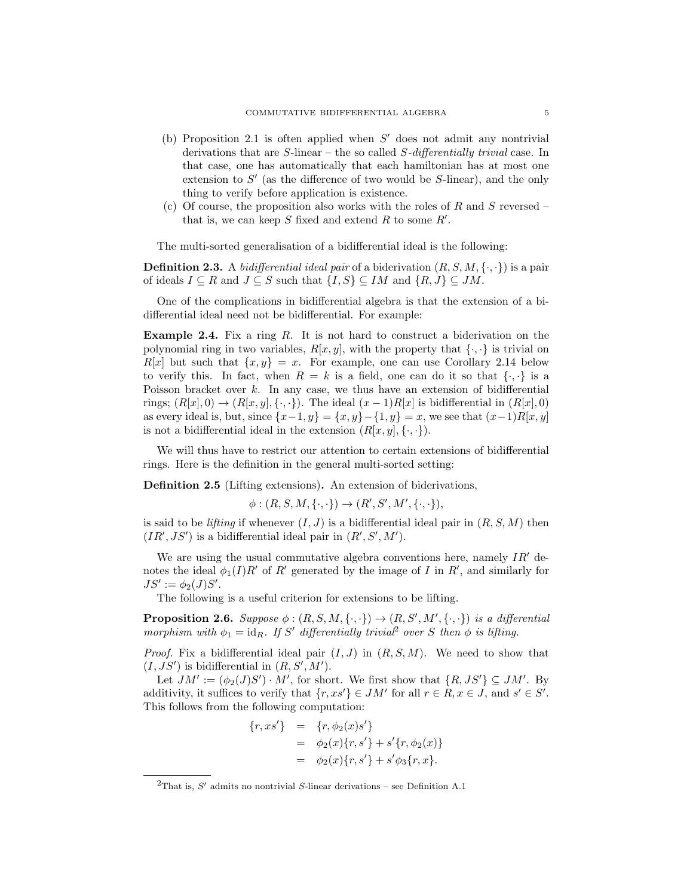- (b) Proposition 2.1 is often applied when  $S'$  does not admit any nontrivial derivations that are  $S$ -linear – the so called  $S$ -differentially trivial case. In that case, one has automatically that each hamiltonian has at most one extension to  $S'$  (as the difference of two would be  $S$ -linear), and the only thing to verify before application is existence.
- (c) Of course, the proposition also works with the roles of R and S reversed that is, we can keep  $S$  fixed and extend  $R$  to some  $R'$ .

The multi-sorted generalisation of a bidifferential ideal is the following:

**Definition 2.3.** A *bidifferential ideal pair* of a biderivation  $(R, S, M, \{\cdot, \cdot\})$  is a pair of ideals  $I \subseteq R$  and  $J \subseteq S$  such that  $\{I, S\} \subseteq IM$  and  $\{R, J\} \subseteq JM$ .

One of the complications in bidifferential algebra is that the extension of a bidifferential ideal need not be bidifferential. For example:

**Example 2.4.** Fix a ring  $R$ . It is not hard to construct a biderivation on the polynomial ring in two variables,  $R[x, y]$ , with the property that  $\{\cdot, \cdot\}$  is trivial on  $R[x]$  but such that  $\{x, y\} = x$ . For example, one can use Corollary 2.14 below to verify this. In fact, when  $R = k$  is a field, one can do it so that  $\{\cdot,\cdot\}$  is a Poisson bracket over  $k$ . In any case, we thus have an extension of bidifferential rings;  $(R[x], 0) \rightarrow (R[x, y], {\cdot, \cdot})$ . The ideal  $(x - 1)R[x]$  is bidifferential in  $(R[x], 0)$ as every ideal is, but, since  $\{x-1, y\} = \{x, y\} - \{1, y\} = x$ , we see that  $(x-1)R[x, y]$ is not a bidifferential ideal in the extension  $(R[x, y], \{\cdot, \cdot\}).$ 

We will thus have to restrict our attention to certain extensions of bidifferential rings. Here is the definition in the general multi-sorted setting:

Definition 2.5 (Lifting extensions). An extension of biderivations,

$$
\phi: (R, S, M, \{\cdot, \cdot\}) \to (R', S', M', \{\cdot, \cdot\}),
$$

is said to be *lifting* if whenever  $(I, J)$  is a bidifferential ideal pair in  $(R, S, M)$  then  $(IR', JS')$  is a bidifferential ideal pair in  $(R', S', M')$ .

We are using the usual commutative algebra conventions here, namely  $IR<sup>′</sup>$  denotes the ideal  $\phi_1(I)R'$  of R' generated by the image of I in R', and similarly for  $JS' := \phi_2(J)S'.$ 

The following is a useful criterion for extensions to be lifting.

**Proposition 2.6.** Suppose  $\phi : (R, S, M, \{\cdot, \cdot\}) \to (R, S', M', \{\cdot, \cdot\})$  is a differential morphism with  $\phi_1 = id_R$ . If S' differentially trivial<sup>2</sup> over S then  $\phi$  is lifting.

*Proof.* Fix a bidifferential ideal pair  $(I, J)$  in  $(R, S, M)$ . We need to show that  $(I, JS')$  is bidifferential in  $(R, S', M')$ .

Let  $JM' := (\phi_2(J)S') \cdot M'$ , for short. We first show that  $\{R, JS'\} \subseteq JM'$ . By additivity, it suffices to verify that  $\{r, xs'\} \in JM'$  for all  $r \in R, x \in J$ , and  $s' \in S'$ . This follows from the following computation:

$$
\begin{array}{rcl} \{r, xs'\} & = & \{r, \phi_2(x)s'\} \\ & = & \phi_2(x)\{r, s'\} + s'\{r, \phi_2(x)\} \\ & = & \phi_2(x)\{r, s'\} + s'\phi_3\{r, x\}. \end{array}
$$

<sup>&</sup>lt;sup>2</sup>That is, S' admits no nontrivial S-linear derivations – see Definition A.1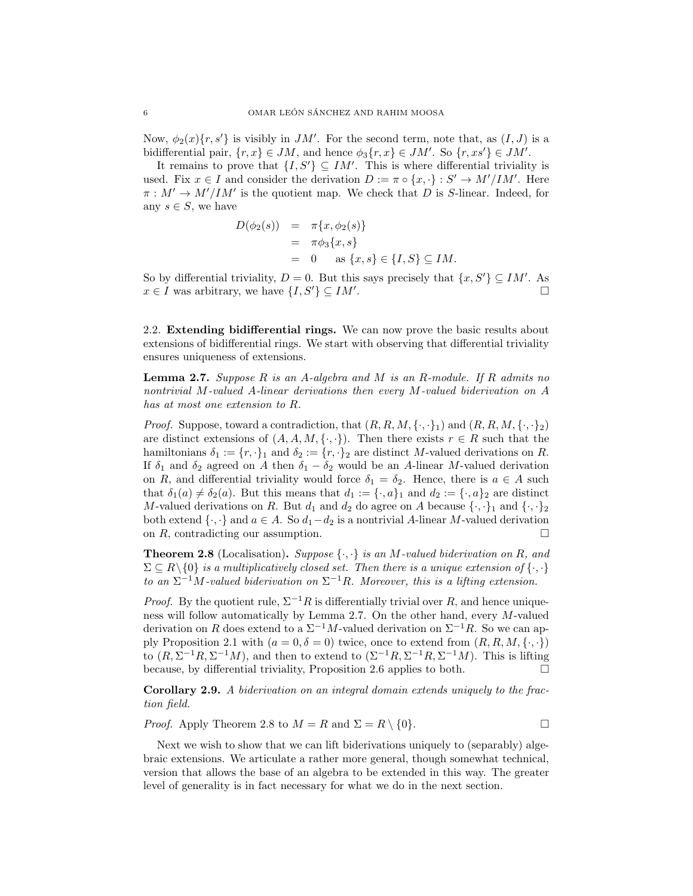Now,  $\phi_2(x)\lbrace r, s'\rbrace$  is visibly in  $JM'$ . For the second term, note that, as  $(I, J)$  is a bidifferential pair,  $\{r, x\} \in JM$ , and hence  $\phi_3\{r, x\} \in JM'$ . So  $\{r, xs'\} \in JM'$ .

It remains to prove that  $\{I, S'\} \subseteq IM'$ . This is where differential triviality is used. Fix  $x \in I$  and consider the derivation  $D := \pi \circ \{x, \cdot\} : S' \to M'/IM'$ . Here  $\pi : M' \to M'/IM'$  is the quotient map. We check that D is S-linear. Indeed, for any  $s \in S$ , we have

$$
D(\phi_2(s)) = \pi\{x, \phi_2(s)\}
$$
  
=  $\pi\phi_3\{x, s\}$   
= 0 as  $\{x, s\} \in \{I, S\} \subseteq IM$ .

So by differential triviality,  $D = 0$ . But this says precisely that  $\{x, S'\} \subseteq IM'$ . As  $x \in I$  was arbitrary, we have  $\{I, S'\} \subseteq IM'.$ . В последните последните и при последните и при последните и при последните и при последните и при последните<br>В последните последните и при последните последните последните и при последните последните последните и при по

2.2. Extending bidifferential rings. We can now prove the basic results about extensions of bidifferential rings. We start with observing that differential triviality ensures uniqueness of extensions.

**Lemma 2.7.** Suppose  $R$  is an A-algebra and  $M$  is an  $R$ -module. If  $R$  admits no nontrivial M-valued A-linear derivations then every M-valued biderivation on A has at most one extension to R.

*Proof.* Suppose, toward a contradiction, that  $(R, R, M, \{\cdot, \cdot\})$  and  $(R, R, M, \{\cdot, \cdot\})$ are distinct extensions of  $(A, A, M, \{\cdot, \cdot\})$ . Then there exists  $r \in R$  such that the hamiltonians  $\delta_1 := \{r, \cdot\}_1$  and  $\delta_2 := \{r, \cdot\}_2$  are distinct M-valued derivations on R. If  $\delta_1$  and  $\delta_2$  agreed on A then  $\delta_1 - \delta_2$  would be an A-linear M-valued derivation on R, and differential triviality would force  $\delta_1 = \delta_2$ . Hence, there is  $a \in A$  such that  $\delta_1(a) \neq \delta_2(a)$ . But this means that  $d_1 := {\{\cdot, a\}}_1$  and  $d_2 := {\{\cdot, a\}}_2$  are distinct M-valued derivations on R. But  $d_1$  and  $d_2$  do agree on A because  $\{\cdot,\cdot\}_1$  and  $\{\cdot,\cdot\}_2$ both extend  $\{\cdot,\cdot\}$  and  $a \in A$ . So  $d_1 - d_2$  is a nontrivial A-linear M-valued derivation on  $R$ , contradicting our assumption.  $\Box$ 

**Theorem 2.8** (Localisation). Suppose  $\{\cdot,\cdot\}$  is an M-valued biderivation on R, and  $\Sigma \subseteq R \setminus \{0\}$  is a multiplicatively closed set. Then there is a unique extension of  $\{\cdot,\cdot\}$ to an  $\Sigma^{-1}M$ -valued biderivation on  $\Sigma^{-1}R$ . Moreover, this is a lifting extension.

*Proof.* By the quotient rule,  $\Sigma^{-1}R$  is differentially trivial over R, and hence uniqueness will follow automatically by Lemma 2.7. On the other hand, every M-valued derivation on R does extend to a  $\Sigma^{-1}M$ -valued derivation on  $\Sigma^{-1}R$ . So we can apply Proposition 2.1 with  $(a = 0, \delta = 0)$  twice, once to extend from  $(R, R, M, \{\cdot, \cdot\})$ to  $(R, \Sigma^{-1}R, \Sigma^{-1}M)$ , and then to extend to  $(\Sigma^{-1}R, \Sigma^{-1}R, \Sigma^{-1}M)$ . This is lifting because, by differential triviality, Proposition 2.6 applies to both.  $\Box$ 

Corollary 2.9. A biderivation on an integral domain extends uniquely to the fraction field.

*Proof.* Apply Theorem 2.8 to  $M = R$  and  $\Sigma = R \setminus \{0\}$ .

Next we wish to show that we can lift biderivations uniquely to (separably) algebraic extensions. We articulate a rather more general, though somewhat technical, version that allows the base of an algebra to be extended in this way. The greater level of generality is in fact necessary for what we do in the next section.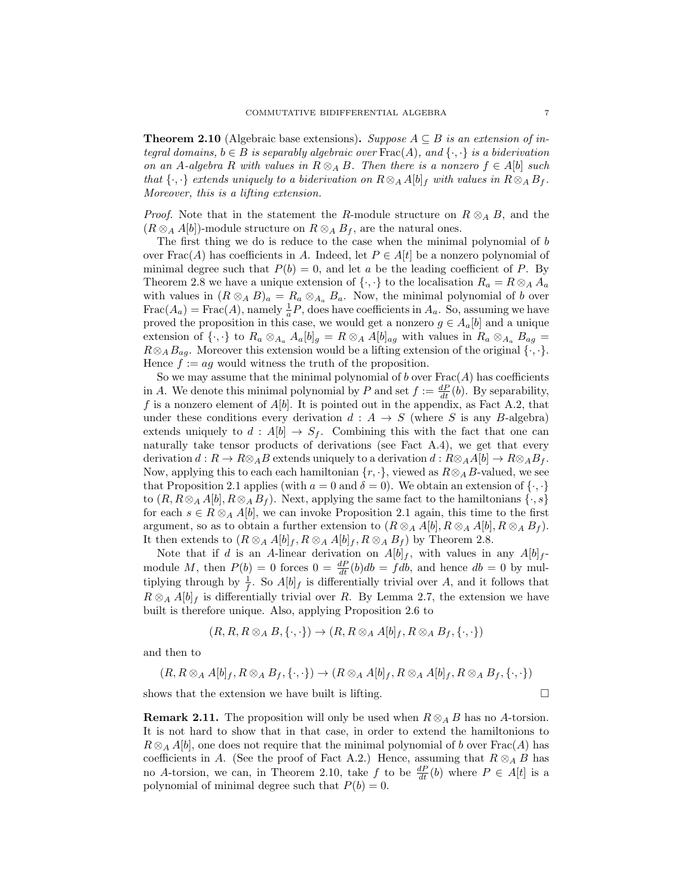**Theorem 2.10** (Algebraic base extensions). Suppose  $A \subseteq B$  is an extension of integral domains,  $b \in B$  is separably algebraic over  $\text{Frac}(A)$ , and  $\{\cdot, \cdot\}$  is a biderivation on an A-algebra R with values in  $R \otimes_A B$ . Then there is a nonzero  $f \in A[b]$  such that  $\{\cdot,\cdot\}$  extends uniquely to a biderivation on  $R \otimes_A A[b]_f$  with values in  $R \otimes_A B_f$ . Moreover, this is a lifting extension.

*Proof.* Note that in the statement the R-module structure on  $R \otimes_A B$ , and the  $(R \otimes_A A[b])$ -module structure on  $R \otimes_A B_f$ , are the natural ones.

The first thing we do is reduce to the case when the minimal polynomial of b over Frac(A) has coefficients in A. Indeed, let  $P \in A[t]$  be a nonzero polynomial of minimal degree such that  $P(b) = 0$ , and let a be the leading coefficient of P. By Theorem 2.8 we have a unique extension of  $\{\cdot,\cdot\}$  to the localisation  $R_a = R \otimes_A A_a$ with values in  $(R \otimes_A B)_a = R_a \otimes_{A_a} B_a$ . Now, the minimal polynomial of b over  $Frac(A_a) = Frac(A)$ , namely  $\frac{1}{a}P$ , does have coefficients in  $A_a$ . So, assuming we have proved the proposition in this case, we would get a nonzero  $g \in A_a[b]$  and a unique extension of  $\{\cdot,\cdot\}$  to  $R_a \otimes_{A_a} A_a[b]_g = R \otimes_A A[b]_{ag}$  with values in  $R_a \otimes_{A_a} B_{ag} =$  $R \otimes_A B_{ag}$ . Moreover this extension would be a lifting extension of the original  $\{\cdot,\cdot\}$ . Hence  $f := ag$  would witness the truth of the proposition.

So we may assume that the minimal polynomial of b over  $Frac(A)$  has coefficients in A. We denote this minimal polynomial by P and set  $f := \frac{dP}{dt}(b)$ . By separability, f is a nonzero element of  $A[b]$ . It is pointed out in the appendix, as Fact A.2, that under these conditions every derivation  $d : A \rightarrow S$  (where S is any B-algebra) extends uniquely to  $d : A[b] \rightarrow S_f$ . Combining this with the fact that one can naturally take tensor products of derivations (see Fact A.4), we get that every derivation  $d : R \to R \otimes_A B$  extends uniquely to a derivation  $d : R \otimes_A A[b] \to R \otimes_A B_f$ . Now, applying this to each each hamiltonian  $\{r, \cdot\}$ , viewed as  $R \otimes_A B$ -valued, we see that Proposition 2.1 applies (with  $a = 0$  and  $\delta = 0$ ). We obtain an extension of  $\{\cdot,\cdot\}$ to  $(R, R \otimes_A A[b], R \otimes_A B_f)$ . Next, applying the same fact to the hamiltonians  $\{\cdot, s\}$ for each  $s \in R \otimes_A A[b]$ , we can invoke Proposition 2.1 again, this time to the first argument, so as to obtain a further extension to  $(R \otimes_A A[b], R \otimes_A A[b], R \otimes_A B_f)$ . It then extends to  $(R \otimes_A A[b]_f, R \otimes_A A[b]_f, R \otimes_A B_f)$  by Theorem 2.8.

Note that if d is an A-linear derivation on  $A[b]_f$ , with values in any  $A[b]_f$ module M, then  $P(b) = 0$  forces  $0 = \frac{dP}{dt}(b)db = fdb$ , and hence  $db = 0$  by multiplying through by  $\frac{1}{f}$ . So  $A[b]_f$  is differentially trivial over A, and it follows that  $R \otimes_A A[b]_f$  is differentially trivial over R. By Lemma 2.7, the extension we have built is therefore unique. Also, applying Proposition 2.6 to

$$
(R, R, R \otimes_A B, \{\cdot, \cdot\}) \to (R, R \otimes_A A[b]_f, R \otimes_A B_f, \{\cdot, \cdot\})
$$

and then to

$$
(R, R \otimes_A A[b]_f, R \otimes_A B_f, \{\cdot, \cdot\}) \to (R \otimes_A A[b]_f, R \otimes_A A[b]_f, R \otimes_A B_f, \{\cdot, \cdot\})
$$

shows that the extension we have built is lifting.  $\Box$ 

**Remark 2.11.** The proposition will only be used when  $R \otimes_A B$  has no A-torsion. It is not hard to show that in that case, in order to extend the hamiltonions to  $R \otimes_A A[b]$ , one does not require that the minimal polynomial of b over Frac(A) has coefficients in A. (See the proof of Fact A.2.) Hence, assuming that  $R \otimes_A B$  has no A-torsion, we can, in Theorem 2.10, take f to be  $\frac{dP}{dt}(b)$  where  $P \in A[t]$  is a polynomial of minimal degree such that  $P(b) = 0$ .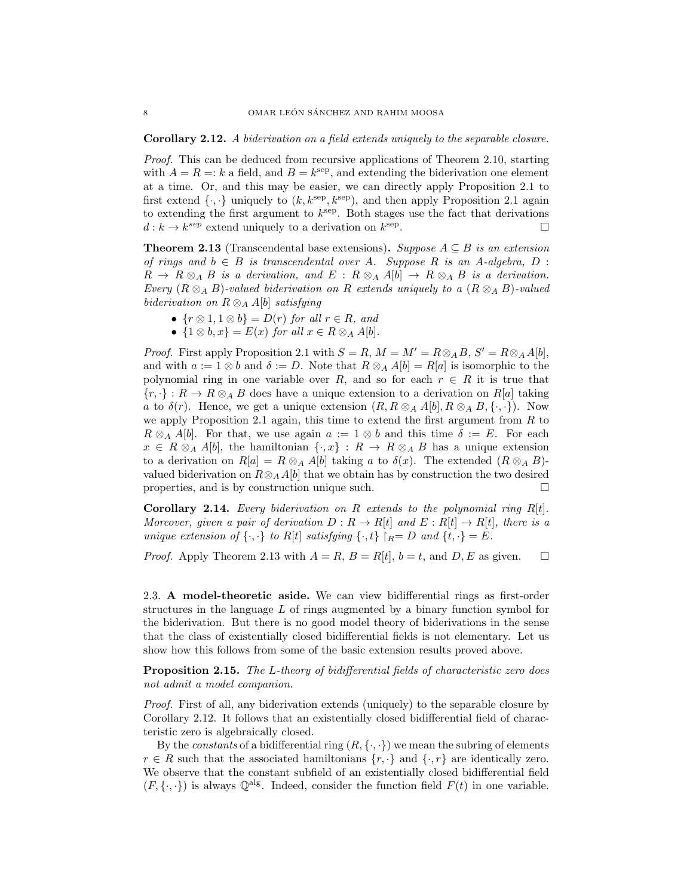Corollary 2.12. A biderivation on a field extends uniquely to the separable closure.

Proof. This can be deduced from recursive applications of Theorem 2.10, starting with  $A = R =: k$  a field, and  $B = k^{\text{sep}}$ , and extending the biderivation one element at a time. Or, and this may be easier, we can directly apply Proposition 2.1 to first extend  $\{\cdot,\cdot\}$  uniquely to  $(k, k^{\text{sep}}, k^{\text{sep}})$ , and then apply Proposition 2.1 again to extending the first argument to  $k^{\rm sep}$ . Both stages use the fact that derivations  $d: k \to k^{sep}$  extend uniquely to a derivation on  $k^{sep}$ . — Процессиональные производствование и производствование и производствование и производствование и производс<br>В 1990 году в 1990 году в 1990 году в 1990 году в 1990 году в 1990 году в 1990 году в 1990 году в 1990 году в<br>

**Theorem 2.13** (Transcendental base extensions). Suppose  $A \subseteq B$  is an extension of rings and  $b \in B$  is transcendental over A. Suppose R is an A-algebra, D :  $R \to R \otimes_A B$  is a derivation, and  $E : R \otimes_A A[b] \to R \otimes_A B$  is a derivation. Every  $(R \otimes_A B)$ -valued biderivation on R extends uniquely to a  $(R \otimes_A B)$ -valued biderivation on  $R \otimes_A A[b]$  satisfying

- $\{r \otimes 1, 1 \otimes b\} = D(r)$  for all  $r \in R$ , and
- $\{1 \otimes b, x\} = E(x)$  for all  $x \in R \otimes_A A[b]$ .

*Proof.* First apply Proposition 2.1 with  $S = R$ ,  $M = M' = R \otimes_A B$ ,  $S' = R \otimes_A A[b]$ , and with  $a := 1 \otimes b$  and  $\delta := D$ . Note that  $R \otimes_A A[b] = R[a]$  is isomorphic to the polynomial ring in one variable over R, and so for each  $r \in R$  it is true that  ${r, \cdot} : R \to R \otimes_A B$  does have a unique extension to a derivation on  $R[a]$  taking a to  $\delta(r)$ . Hence, we get a unique extension  $(R, R \otimes_A A[b], R \otimes_A B, \{\cdot, \cdot\})$ . Now we apply Proposition 2.1 again, this time to extend the first argument from  $R$  to  $R \otimes_A A[b]$ . For that, we use again  $a := 1 \otimes b$  and this time  $\delta := E$ . For each  $x \in R \otimes_A A[b],$  the hamiltonian  $\{\cdot, x\} : R \to R \otimes_A B$  has a unique extension to a derivation on  $R[a] = R \otimes_A A[b]$  taking a to  $\delta(x)$ . The extended  $(R \otimes_A B)$ valued biderivation on  $R \otimes_A A[b]$  that we obtain has by construction the two desired properties, and is by construction unique such.

**Corollary 2.14.** Every biderivation on R extends to the polynomial ring  $R[t]$ . Moreover, given a pair of derivation  $D: R \to R[t]$  and  $E: R[t] \to R[t]$ , there is a unique extension of  $\{\cdot,\cdot\}$  to R[t] satisfying  $\{\cdot,t\}$   $\upharpoonright_R = D$  and  $\{t,\cdot\} = E$ .

*Proof.* Apply Theorem 2.13 with  $A = R$ ,  $B = R[t]$ ,  $b = t$ , and D, E as given.  $\square$ 

2.3. A model-theoretic aside. We can view bidifferential rings as first-order structures in the language L of rings augmented by a binary function symbol for the biderivation. But there is no good model theory of biderivations in the sense that the class of existentially closed bidifferential fields is not elementary. Let us show how this follows from some of the basic extension results proved above.

Proposition 2.15. The L-theory of bidifferential fields of characteristic zero does not admit a model companion.

Proof. First of all, any biderivation extends (uniquely) to the separable closure by Corollary 2.12. It follows that an existentially closed bidifferential field of characteristic zero is algebraically closed.

By the *constants* of a bidifferential ring  $(R, \{\cdot, \cdot\})$  we mean the subring of elements  $r \in R$  such that the associated hamiltonians  $\{r, \cdot\}$  and  $\{\cdot, r\}$  are identically zero. We observe that the constant subfield of an existentially closed bidifferential field  $(F, \{\cdot,\cdot\})$  is always  $\mathbb{Q}^{\text{alg}}$ . Indeed, consider the function field  $F(t)$  in one variable.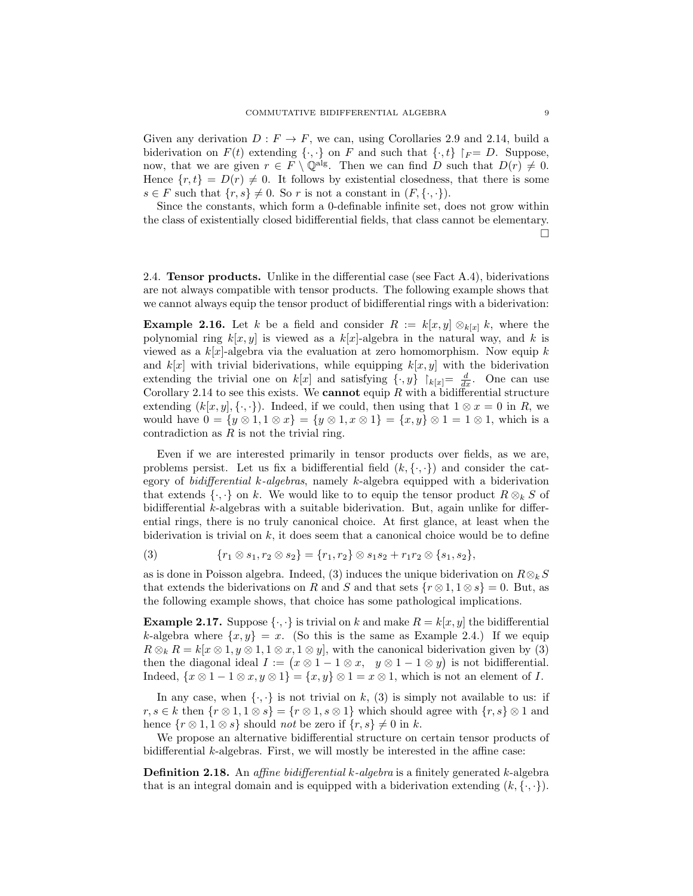Given any derivation  $D: F \to F$ , we can, using Corollaries 2.9 and 2.14, build a biderivation on  $F(t)$  extending  $\{\cdot,\cdot\}$  on F and such that  $\{\cdot,t\}$   $\upharpoonright_F = D$ . Suppose, now, that we are given  $r \in F \setminus \mathbb{Q}^{alg}$ . Then we can find D such that  $D(r) \neq 0$ . Hence  $\{r, t\} = D(r) \neq 0$ . It follows by existential closedness, that there is some  $s \in F$  such that  $\{r, s\} \neq 0$ . So r is not a constant in  $(F, \{\cdot, \cdot\})$ .

Since the constants, which form a 0-definable infinite set, does not grow within the class of existentially closed bidifferential fields, that class cannot be elementary.

 $\Box$ 

2.4. **Tensor products.** Unlike in the differential case (see Fact  $A.4$ ), biderivations are not always compatible with tensor products. The following example shows that we cannot always equip the tensor product of bidifferential rings with a biderivation:

**Example 2.16.** Let k be a field and consider  $R := k[x, y] \otimes_{k[x]} k$ , where the polynomial ring  $k[x, y]$  is viewed as a  $k[x]$ -algebra in the natural way, and k is viewed as a  $k[x]$ -algebra via the evaluation at zero homomorphism. Now equip k and  $k[x]$  with trivial biderivations, while equipping  $k[x, y]$  with the biderivation extending the trivial one on  $k[x]$  and satisfying  $\{\cdot, y\}$   $\upharpoonright_{k[x]} = \frac{d}{dx}$ . One can use Corollary 2.14 to see this exists. We cannot equip  $R$  with a bidifferential structure extending  $(k[x, y], \{\cdot, \cdot\})$ . Indeed, if we could, then using that  $1 \otimes x = 0$  in R, we would have  $0 = \{y \otimes 1, 1 \otimes x\} = \{y \otimes 1, x \otimes 1\} = \{x, y\} \otimes 1 = 1 \otimes 1$ , which is a contradiction as  $R$  is not the trivial ring.

Even if we are interested primarily in tensor products over fields, as we are, problems persist. Let us fix a bidifferential field  $(k, \{\cdot,\cdot\})$  and consider the category of bidifferential k-algebras, namely k-algebra equipped with a biderivation that extends  $\{\cdot,\cdot\}$  on k. We would like to to equip the tensor product  $R \otimes_k S$  of bidifferential  $k$ -algebras with a suitable biderivation. But, again unlike for differential rings, there is no truly canonical choice. At first glance, at least when the biderivation is trivial on  $k$ , it does seem that a canonical choice would be to define

(3) 
$$
\{r_1 \otimes s_1, r_2 \otimes s_2\} = \{r_1, r_2\} \otimes s_1 s_2 + r_1 r_2 \otimes \{s_1, s_2\},\
$$

as is done in Poisson algebra. Indeed, (3) induces the unique biderivation on  $R \otimes_k S$ that extends the biderivations on R and S and that sets  $\{r \otimes 1, 1 \otimes s\} = 0$ . But, as the following example shows, that choice has some pathological implications.

**Example 2.17.** Suppose  $\{\cdot,\cdot\}$  is trivial on k and make  $R = k[x, y]$  the bidifferential k-algebra where  $\{x, y\} = x$ . (So this is the same as Example 2.4.) If we equip  $R \otimes_k R = k[x \otimes 1, y \otimes 1, 1 \otimes x, 1 \otimes y]$ , with the canonical biderivation given by (3) then the diagonal ideal  $I := (x \otimes 1 - 1 \otimes x, y \otimes 1 - 1 \otimes y)$  is not bidifferential. Indeed,  $\{x \otimes 1 - 1 \otimes x, y \otimes 1\} = \{x, y\} \otimes 1 = x \otimes 1$ , which is not an element of I.

In any case, when  $\{\cdot,\cdot\}$  is not trivial on k, (3) is simply not available to us: if  $r, s \in k$  then  $\{r \otimes 1, 1 \otimes s\} = \{r \otimes 1, s \otimes 1\}$  which should agree with  $\{r, s\} \otimes 1$  and hence  $\{r \otimes 1, 1 \otimes s\}$  should *not* be zero if  $\{r, s\} \neq 0$  in k.

We propose an alternative bidifferential structure on certain tensor products of bidifferential k-algebras. First, we will mostly be interested in the affine case:

**Definition 2.18.** An *affine bidifferential k-algebra* is a finitely generated  $k$ -algebra that is an integral domain and is equipped with a biderivation extending  $(k, \{\cdot, \cdot\})$ .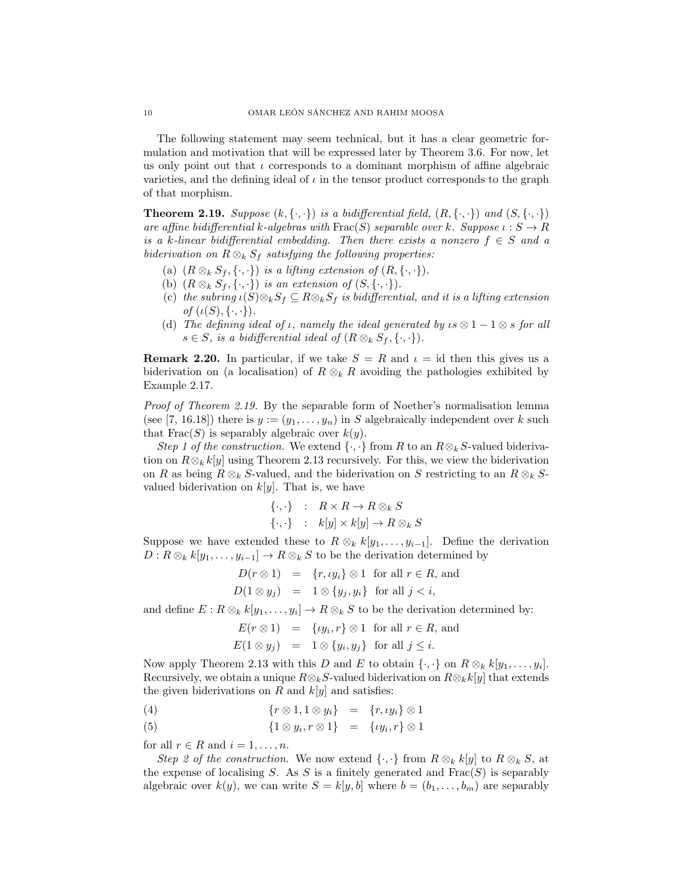The following statement may seem technical, but it has a clear geometric formulation and motivation that will be expressed later by Theorem 3.6. For now, let us only point out that  $\iota$  corresponds to a dominant morphism of affine algebraic varieties, and the defining ideal of  $\iota$  in the tensor product corresponds to the graph of that morphism.

**Theorem 2.19.** Suppose  $(k, \{ \cdot, \cdot \})$  is a bidifferential field,  $(R, \{ \cdot, \cdot \})$  and  $(S, \{ \cdot, \cdot \})$ are affine bidifferential k-algebras with  $\text{Frac}(S)$  separable over k. Suppose  $\iota : S \to R$ is a k-linear bidifferential embedding. Then there exists a nonzero  $f \in S$  and a biderivation on  $R \otimes_k S_f$  satisfying the following properties:

- (a)  $(R \otimes_k S_f, \{\cdot, \cdot\})$  is a lifting extension of  $(R, \{\cdot, \cdot\}).$
- (b)  $(R \otimes_k S_f, \{\cdot, \cdot\})$  is an extension of  $(S, \{\cdot, \cdot\}).$
- (c) the subring  $\iota(S) \otimes_k S_f \subseteq R \otimes_k S_f$  is bidifferential, and it is a lifting extension of  $(\iota(S), \{\cdot, \cdot\}).$
- (d) The defining ideal of  $\iota$ , namely the ideal generated by  $\iota s \otimes 1 1 \otimes s$  for all  $s \in S$ , is a bidifferential ideal of  $(R \otimes_k S_f, \{\cdot, \cdot\}).$

**Remark 2.20.** In particular, if we take  $S = R$  and  $\iota = id$  then this gives us a biderivation on (a localisation) of  $R \otimes_k R$  avoiding the pathologies exhibited by Example 2.17.

Proof of Theorem 2.19. By the separable form of Noether's normalisation lemma (see [7, 16.18]) there is  $y := (y_1, \ldots, y_n)$  in S algebraically independent over k such that  $Frac(S)$  is separably algebraic over  $k(y)$ .

Step 1 of the construction. We extend  $\{\cdot,\cdot\}$  from R to an  $R\otimes_k S$ -valued biderivation on  $R \otimes_k k[y]$  using Theorem 2.13 recursively. For this, we view the biderivation on R as being  $R \otimes_k S$ -valued, and the biderivation on S restricting to an  $R \otimes_k S$ valued biderivation on  $k[y]$ . That is, we have

$$
\{\cdot, \cdot\} : R \times R \to R \otimes_k S
$$
  

$$
\{\cdot, \cdot\} : k[y] \times k[y] \to R \otimes_k S
$$

Suppose we have extended these to  $R \otimes_k k[y_1, \ldots, y_{i-1}]$ . Define the derivation  $D: R \otimes_k k[y_1, \ldots, y_{i-1}] \to R \otimes_k S$  to be the derivation determined by

$$
D(r \otimes 1) = \{r, \iota y_i\} \otimes 1 \text{ for all } r \in R, \text{ and}
$$
  

$$
D(1 \otimes y_j) = 1 \otimes \{y_j, y_i\} \text{ for all } j < i,
$$

and define  $E: R \otimes_k k[y_1, \ldots, y_i] \to R \otimes_k S$  to be the derivation determined by:

$$
E(r \otimes 1) = \{ \iota y_i, r \} \otimes 1 \text{ for all } r \in R, \text{ and}
$$

$$
E(1 \otimes y_j) = 1 \otimes \{y_i, y_j\} \text{ for all } j \leq i.
$$

Now apply Theorem 2.13 with this D and E to obtain  $\{\cdot,\cdot\}$  on  $R \otimes_k k[y_1,\ldots,y_i]$ . Recursively, we obtain a unique  $R \otimes_k S$ -valued biderivation on  $R \otimes_k k[y]$  that extends the given biderivations on R and  $k[y]$  and satisfies:

- (4)  $\{r \otimes 1, 1 \otimes y_i\} = \{r, \iota y_i\} \otimes 1$
- (5)  ${1 \otimes y_i, r \otimes 1} = {uy_i, r} \otimes 1$

for all  $r \in R$  and  $i = 1, \ldots, n$ .

Step 2 of the construction. We now extend  $\{\cdot,\cdot\}$  from  $R \otimes_k k[y]$  to  $R \otimes_k S$ , at the expense of localising S. As S is a finitely generated and  $Frac(S)$  is separably algebraic over  $k(y)$ , we can write  $S = k[y, b]$  where  $b = (b_1, \ldots, b_m)$  are separably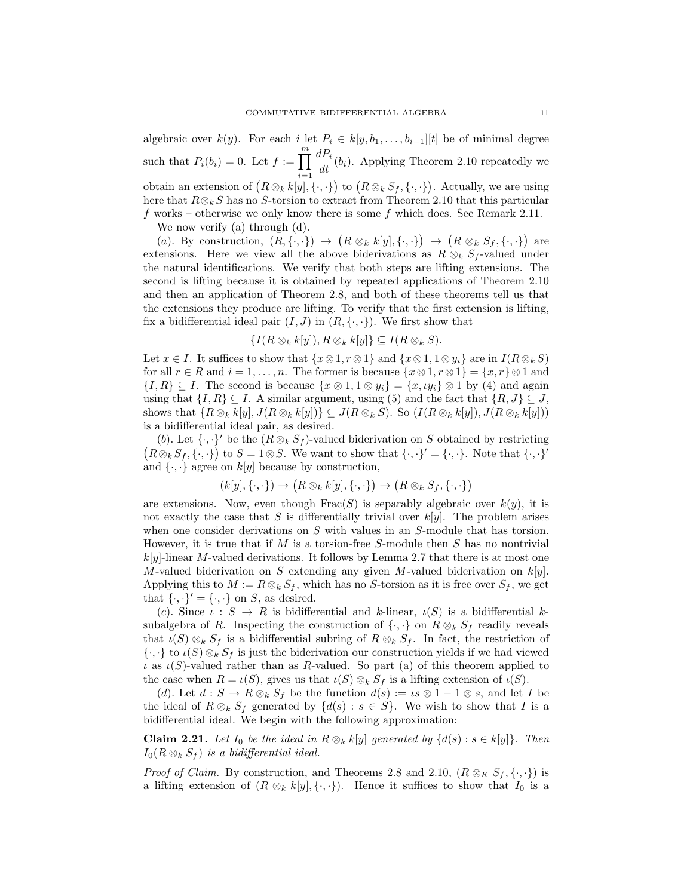algebraic over  $k(y)$ . For each i let  $P_i \in k[y, b_1, \ldots, b_{i-1}][t]$  be of minimal degree such that  $P_i(b_i) = 0$ . Let  $f := \prod^m$  $i=1$  $\frac{dP_i}{dt}(b_i)$ . Applying Theorem 2.10 repeatedly we obtain an extension of  $(R \otimes_k k[y], \{\cdot, \cdot\})$  to  $(R \otimes_k S_f, \{\cdot, \cdot\})$ . Actually, we are using here that  $R \otimes_k S$  has no S-torsion to extract from Theorem 2.10 that this particular  $f$  works – otherwise we only know there is some  $f$  which does. See Remark 2.11.

We now verify (a) through (d).

(a). By construction,  $(R, \{\cdot, \cdot\}) \rightarrow (R \otimes_k k[y], \{\cdot, \cdot\}) \rightarrow (R \otimes_k S_f, \{\cdot, \cdot\})$  are extensions. Here we view all the above biderivations as  $R \otimes_k S_f$ -valued under the natural identifications. We verify that both steps are lifting extensions. The second is lifting because it is obtained by repeated applications of Theorem 2.10 and then an application of Theorem 2.8, and both of these theorems tell us that the extensions they produce are lifting. To verify that the first extension is lifting, fix a bidifferential ideal pair  $(I, J)$  in  $(R, \{\cdot, \cdot\})$ . We first show that

$$
\{I(R \otimes_k k[y]), R \otimes_k k[y]\} \subseteq I(R \otimes_k S).
$$

Let  $x \in I$ . It suffices to show that  $\{x \otimes 1, r \otimes 1\}$  and  $\{x \otimes 1, 1 \otimes y_i\}$  are in  $I(R \otimes_k S)$ for all  $r \in R$  and  $i = 1, ..., n$ . The former is because  $\{x \otimes 1, r \otimes 1\} = \{x, r\} \otimes 1$  and  ${I, R} \subseteq I$ . The second is because  ${x \otimes 1, 1 \otimes y_i} = {x, \iota y_i} \otimes 1$  by (4) and again using that  $\{I, R\} \subseteq I$ . A similar argument, using (5) and the fact that  $\{R, J\} \subseteq J$ , shows that  $\{R \otimes_k k[y], J(R \otimes_k k[y])\} \subseteq J(R \otimes_k S)$ . So  $(I(R \otimes_k k[y]), J(R \otimes_k k[y]))$ is a bidifferential ideal pair, as desired.

(b). Let  $\{\cdot,\cdot\}'$  be the  $(R \otimes_k S_f)$ -valued biderivation on S obtained by restricting  $(R \otimes_k S_f, \{\cdot, \cdot\})$  to  $S = 1 \otimes S$ . We want to show that  $\{\cdot, \cdot\}' = \{\cdot, \cdot\}$ . Note that  $\{\cdot, \cdot\}'$ and  $\{\cdot,\cdot\}$  agree on  $k[y]$  because by construction,

$$
(k[y], {\cdot, \cdot}) \rightarrow (R \otimes_k k[y], {\cdot, \cdot}) \rightarrow (R \otimes_k S_f, {\cdot, \cdot})
$$

are extensions. Now, even though  $Frac(S)$  is separably algebraic over  $k(y)$ , it is not exactly the case that S is differentially trivial over  $k[y]$ . The problem arises when one consider derivations on S with values in an S-module that has torsion. However, it is true that if  $M$  is a torsion-free  $S$ -module then  $S$  has no nontrivial  $k[y]$ -linear M-valued derivations. It follows by Lemma 2.7 that there is at most one M-valued biderivation on S extending any given M-valued biderivation on  $k[y]$ . Applying this to  $M := R \otimes_k S_f$ , which has no S-torsion as it is free over  $S_f$ , we get that  $\{\cdot,\cdot\}' = \{\cdot,\cdot\}$  on S, as desired.

(c). Since  $\iota : S \to R$  is bidifferential and k-linear,  $\iota(S)$  is a bidifferential ksubalgebra of R. Inspecting the construction of  $\{\cdot,\cdot\}$  on  $R \otimes_k S_f$  readily reveals that  $\iota(S) \otimes_k S_f$  is a bidifferential subring of  $R \otimes_k S_f$ . In fact, the restriction of  $\{\cdot,\cdot\}$  to  $\iota(S) \otimes_k S_f$  is just the biderivation our construction yields if we had viewed  $\iota$  as  $\iota(S)$ -valued rather than as R-valued. So part (a) of this theorem applied to the case when  $R = \iota(S)$ , gives us that  $\iota(S) \otimes_k S_f$  is a lifting extension of  $\iota(S)$ .

(d). Let  $d : S \to R \otimes_k S_f$  be the function  $d(s) := \iota s \otimes 1 - 1 \otimes s$ , and let I be the ideal of  $R \otimes_k S_f$  generated by  $\{d(s) : s \in S\}$ . We wish to show that I is a bidifferential ideal. We begin with the following approximation:

**Claim 2.21.** Let  $I_0$  be the ideal in  $R \otimes_k k[y]$  generated by  $\{d(s) : s \in k[y]\}$ . Then  $I_0(R \otimes_k S_f)$  is a bidifferential ideal.

*Proof of Claim.* By construction, and Theorems 2.8 and 2.10,  $(R \otimes_K S_f, \{\cdot, \cdot\})$  is a lifting extension of  $(R \otimes_k k[y], \{\cdot, \cdot\})$ . Hence it suffices to show that  $I_0$  is a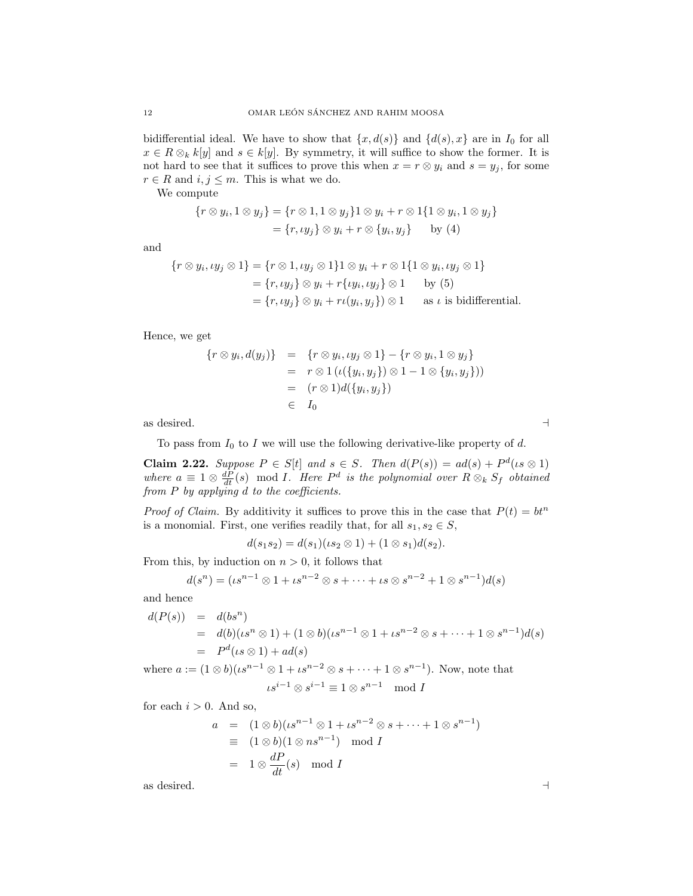bidifferential ideal. We have to show that  $\{x, d(s)\}\$  and  $\{d(s), x\}$  are in  $I_0$  for all  $x \in R \otimes_k k[y]$  and  $s \in k[y]$ . By symmetry, it will suffice to show the former. It is not hard to see that it suffices to prove this when  $x = r \otimes y_i$  and  $s = y_j$ , for some  $r \in R$  and  $i, j \leq m$ . This is what we do.

We compute

$$
\{r \otimes y_i, 1 \otimes y_j\} = \{r \otimes 1, 1 \otimes y_j\}1 \otimes y_i + r \otimes 1\{1 \otimes y_i, 1 \otimes y_j\}
$$
  
= 
$$
\{r, \iota y_j\} \otimes y_i + r \otimes \{y_i, y_j\} \qquad \text{by (4)}
$$

and

$$
\{r \otimes y_i, \iota y_j \otimes 1\} = \{r \otimes 1, \iota y_j \otimes 1\} 1 \otimes y_i + r \otimes 1 \{1 \otimes y_i, \iota y_j \otimes 1\}
$$
  
= 
$$
\{r, \iota y_j\} \otimes y_i + r \{\iota y_i, \iota y_j\} \otimes 1 \qquad \text{by (5)}
$$
  
= 
$$
\{r, \iota y_j\} \otimes y_i + r \iota (y_i, y_j) \otimes 1 \qquad \text{as } \iota \text{ is bidifferential.}
$$

Hence, we get

$$
\{r \otimes y_i, d(y_j)\} = \{r \otimes y_i, \iota y_j \otimes 1\} - \{r \otimes y_i, 1 \otimes y_j\}
$$
  
\n
$$
= r \otimes 1 (\iota(\{y_i, y_j\}) \otimes 1 - 1 \otimes \{y_i, y_j\}))
$$
  
\n
$$
= (r \otimes 1)d(\{y_i, y_j\})
$$
  
\n
$$
\in I_0
$$
  
\nas desired.

To pass from  $I_0$  to I we will use the following derivative-like property of d.

**Claim 2.22.** Suppose  $P \in S[t]$  and  $s \in S$ . Then  $d(P(s)) = ad(s) + P^d(\iota s \otimes 1)$ where  $a \equiv 1 \otimes \frac{dP}{dt}(s) \mod I$ . Here  $P^d$  is the polynomial over  $R \otimes_k S_f$  obtained from  $P$  by applying  $d$  to the coefficients.

*Proof of Claim.* By additivity it suffices to prove this in the case that  $P(t) = bt^n$ is a monomial. First, one verifies readily that, for all  $s_1, s_2 \in S$ ,

$$
d(s_1s_2) = d(s_1)(\iota s_2 \otimes 1) + (1 \otimes s_1)d(s_2).
$$

From this, by induction on  $n > 0$ , it follows that

$$
d(s^{n}) = (s^{n-1} \otimes 1 + s^{n-2} \otimes s + \dots + s \otimes s^{n-2} + 1 \otimes s^{n-1})d(s)
$$

and hence

$$
d(P(s)) = d(bsn)
$$
  
=  $d(b)(\iota s^n \otimes 1) + (1 \otimes b)(\iota s^{n-1} \otimes 1 + \iota s^{n-2} \otimes s + \dots + 1 \otimes s^{n-1})d(s)$   
=  $P^d(\iota s \otimes 1) + ad(s)$ 

where  $a := (1 \otimes b)(\iota s^{n-1} \otimes 1 + \iota s^{n-2} \otimes s + \cdots + 1 \otimes s^{n-1})$ . Now, note that  $\iota s^{i-1} \otimes s^{i-1} \equiv 1 \otimes s^{n-1} \mod I$ 

for each  $i > 0$ . And so,

$$
a = (1 \otimes b)(\iota s^{n-1} \otimes 1 + \iota s^{n-2} \otimes s + \dots + 1 \otimes s^{n-1})
$$
  
\n
$$
\equiv (1 \otimes b)(1 \otimes ns^{n-1}) \mod I
$$
  
\n
$$
= 1 \otimes \frac{dP}{dt}(s) \mod I
$$

as desired.  $\Box$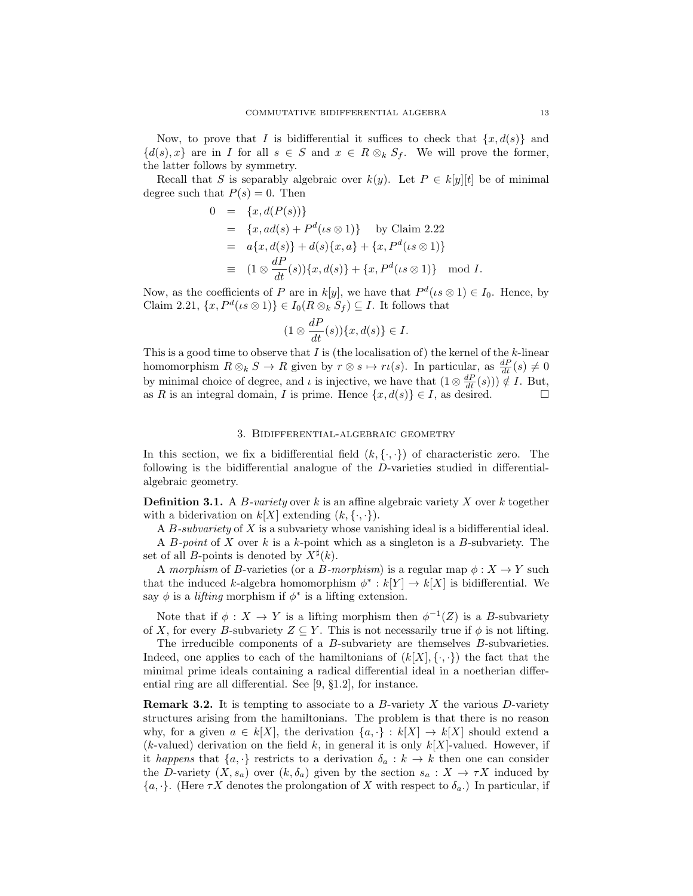Now, to prove that I is bidifferential it suffices to check that  $\{x, d(s)\}\$  and  ${d(s), x}$  are in I for all  $s \in S$  and  $x \in R \otimes_k S_f$ . We will prove the former, the latter follows by symmetry.

Recall that S is separably algebraic over  $k(y)$ . Let  $P \in k[y][t]$  be of minimal degree such that  $P(s) = 0$ . Then

$$
0 = \{x, d(P(s))\}
$$
  
=  $\{x, ad(s) + P^d(\iota s \otimes 1)\}$  by Claim 2.22  
=  $a\{x, d(s)\} + d(s)\{x, a\} + \{x, P^d(\iota s \otimes 1)\}$   
=  $(1 \otimes \frac{dP}{dt}(s))\{x, d(s)\} + \{x, P^d(\iota s \otimes 1)\}$  mod *I*.

Now, as the coefficients of P are in  $k[y]$ , we have that  $P^d(\iota s \otimes 1) \in I_0$ . Hence, by Claim 2.21,  $\{x, P^d(\iota s \otimes 1)\}\in I_0(R\otimes_k S_f) \subseteq I$ . It follows that

$$
(1 \otimes \frac{dP}{dt}(s))\{x, d(s)\} \in I.
$$

This is a good time to observe that  $I$  is (the localisation of) the kernel of the  $k$ -linear homomorphism  $R \otimes_k S \to R$  given by  $r \otimes s \mapsto rt(s)$ . In particular, as  $\frac{dP}{dt}(s) \neq 0$ by minimal choice of degree, and  $\iota$  is injective, we have that  $(1 \otimes \frac{dP}{dt}(s)) \notin I$ . But, as R is an integral domain, I is prime. Hence  $\{x, d(s)\}\in I$ , as desired.

### 3. Bidifferential-algebraic geometry

In this section, we fix a bidifferential field  $(k, \{\cdot, \cdot\})$  of characteristic zero. The following is the bidifferential analogue of the D-varieties studied in differentialalgebraic geometry.

**Definition 3.1.** A *B*-variety over k is an affine algebraic variety X over k together with a biderivation on  $k[X]$  extending  $(k, \{\cdot, \cdot\}).$ 

A  $B$ -subvariety of  $X$  is a subvariety whose vanishing ideal is a bidifferential ideal.

A B-point of X over k is a k-point which as a singleton is a B-subvariety. The set of all *B*-points is denoted by  $X^{\sharp}(k)$ .

A morphism of B-varieties (or a B-morphism) is a regular map  $\phi: X \to Y$  such that the induced k-algebra homomorphism  $\phi^*: k[Y] \to k[X]$  is bidifferential. We say  $\phi$  is a *lifting* morphism if  $\phi^*$  is a lifting extension.

Note that if  $\phi: X \to Y$  is a lifting morphism then  $\phi^{-1}(Z)$  is a B-subvariety of X, for every B-subvariety  $Z \subseteq Y$ . This is not necessarily true if  $\phi$  is not lifting.

The irreducible components of a B-subvariety are themselves B-subvarieties. Indeed, one applies to each of the hamiltonians of  $(k[X], {\cdot, \cdot})$  the fact that the minimal prime ideals containing a radical differential ideal in a noetherian differential ring are all differential. See [9, §1.2], for instance.

**Remark 3.2.** It is tempting to associate to a  $B$ -variety X the various  $D$ -variety structures arising from the hamiltonians. The problem is that there is no reason why, for a given  $a \in k[X]$ , the derivation  $\{a, \cdot\}: k[X] \to k[X]$  should extend a (k-valued) derivation on the field k, in general it is only  $k[X]$ -valued. However, if it happens that  $\{a, \cdot\}$  restricts to a derivation  $\delta_a : k \to k$  then one can consider the D-variety  $(X, s_a)$  over  $(k, \delta_a)$  given by the section  $s_a : X \to \tau X$  induced by  ${a, \cdot}$ . (Here  $\tau X$  denotes the prolongation of X with respect to  $\delta_a$ .) In particular, if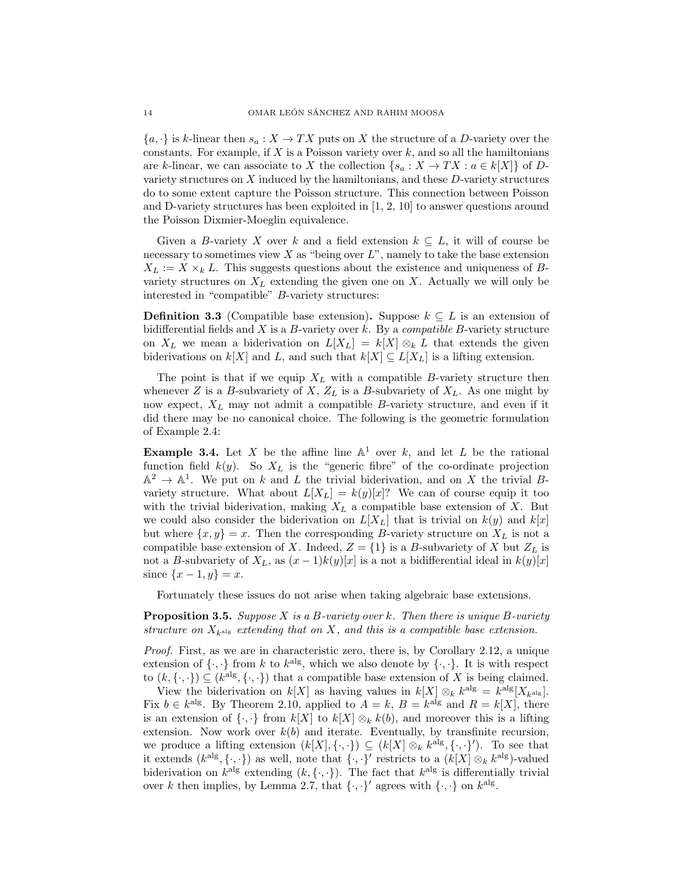${a, \cdot}$  is k-linear then  $s_a: X \to TX$  puts on X the structure of a D-variety over the constants. For example, if  $X$  is a Poisson variety over  $k$ , and so all the hamiltonians are k-linear, we can associate to X the collection  $\{s_a : X \to TX : a \in k[X]\}\$  of Dvariety structures on X induced by the hamiltonians, and these D-variety structures do to some extent capture the Poisson structure. This connection between Poisson and D-variety structures has been exploited in [1, 2, 10] to answer questions around the Poisson Dixmier-Moeglin equivalence.

Given a B-variety X over k and a field extension  $k \subseteq L$ , it will of course be necessary to sometimes view  $X$  as "being over  $L$ ", namely to take the base extension  $X_L := X \times_k L$ . This suggests questions about the existence and uniqueness of Bvariety structures on  $X_L$  extending the given one on X. Actually we will only be interested in "compatible" B-variety structures:

**Definition 3.3** (Compatible base extension). Suppose  $k \subseteq L$  is an extension of bidifferential fields and  $X$  is a  $B$ -variety over  $k$ . By a *compatible*  $B$ -variety structure on  $X_L$  we mean a biderivation on  $L[X_L] = k[X] \otimes_k L$  that extends the given biderivations on  $k[X]$  and L, and such that  $k[X] \subseteq L[X_L]$  is a lifting extension.

The point is that if we equip  $X_L$  with a compatible B-variety structure then whenever Z is a B-subvariety of X,  $Z_L$  is a B-subvariety of  $X_L$ . As one might by now expect,  $X_L$  may not admit a compatible  $B$ -variety structure, and even if it did there may be no canonical choice. The following is the geometric formulation of Example 2.4:

**Example 3.4.** Let X be the affine line  $\mathbb{A}^1$  over k, and let L be the rational function field  $k(y)$ . So  $X_L$  is the "generic fibre" of the co-ordinate projection  $\mathbb{A}^2 \to \mathbb{A}^1$ . We put on k and L the trivial biderivation, and on X the trivial Bvariety structure. What about  $L[X_L] = k(y)[x]$ ? We can of course equip it too with the trivial biderivation, making  $X_L$  a compatible base extension of X. But we could also consider the biderivation on  $L[X_L]$  that is trivial on  $k(y)$  and  $k[x]$ but where  $\{x, y\} = x$ . Then the corresponding B-variety structure on  $X_L$  is not a compatible base extension of X. Indeed,  $Z = \{1\}$  is a B-subvariety of X but  $Z_L$  is not a B-subvariety of  $X_L$ , as  $(x - 1)k(y)[x]$  is a not a bidifferential ideal in  $k(y)[x]$ since  $\{x - 1, y\} = x$ .

Fortunately these issues do not arise when taking algebraic base extensions.

**Proposition 3.5.** Suppose  $X$  is a B-variety over  $k$ . Then there is unique B-variety structure on  $X_{k\text{alg}}$  extending that on X, and this is a compatible base extension.

Proof. First, as we are in characteristic zero, there is, by Corollary 2.12, a unique extension of  $\{\cdot,\cdot\}$  from k to  $k^{\text{alg}}$ , which we also denote by  $\{\cdot,\cdot\}$ . It is with respect to  $(k, \{\cdot, \cdot\}) \subseteq (k^{\text{alg}}, \{\cdot, \cdot\})$  that a compatible base extension of X is being claimed.

View the biderivation on  $k[X]$  as having values in  $k[X] \otimes_k k^{\text{alg}} = k^{\text{alg}}[X_{k^{\text{alg}}}]$ . Fix  $b \in k^{\text{alg}}$ . By Theorem 2.10, applied to  $A = k$ ,  $B = k^{\text{alg}}$  and  $R = k[X]$ , there is an extension of  $\{\cdot,\cdot\}$  from  $k[X]$  to  $k[X] \otimes_k k(b)$ , and moreover this is a lifting extension. Now work over  $k(b)$  and iterate. Eventually, by transfinite recursion, we produce a lifting extension  $(k[X], \{\cdot, \cdot\}) \subseteq (k[X] \otimes_k k^{\text{alg}}, \{\cdot, \cdot\}')$ . To see that it extends  $(k^{alg}, \{\cdot,\cdot\})$  as well, note that  $\{\cdot,\cdot\}'$  restricts to a  $(k[X] \otimes_k k^{alg})$ -valued biderivation on  $k^{\text{alg}}$  extending  $(k, \{\cdot, \cdot\})$ . The fact that  $k^{\text{alg}}$  is differentially trivial over k then implies, by Lemma 2.7, that  $\{\cdot, \cdot\}$  agrees with  $\{\cdot, \cdot\}$  on  $k^{\text{alg}}$ .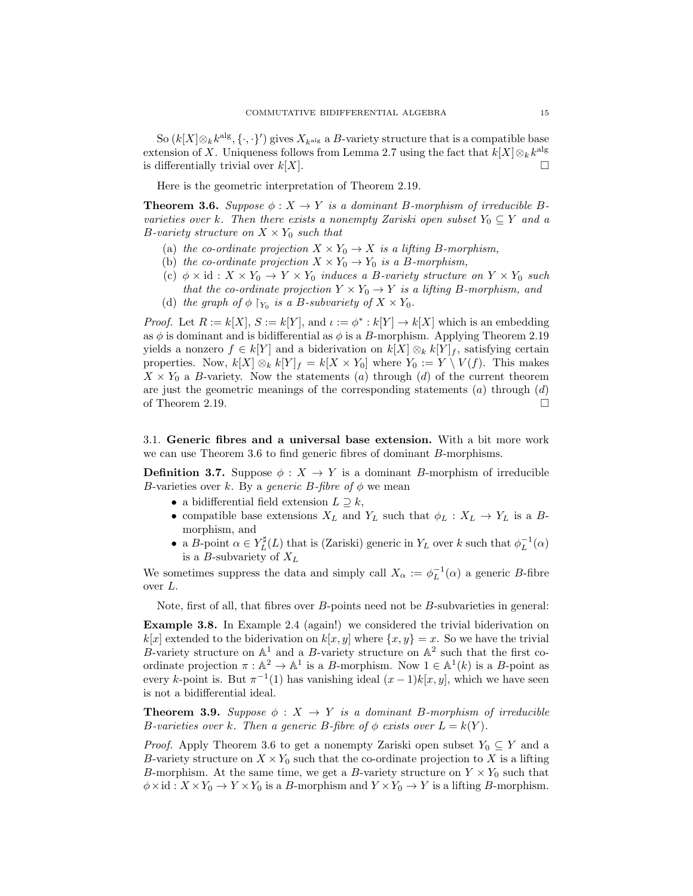So  $(k[X] \otimes_k k^{\text{alg}}, \{\cdot, \cdot\}')$  gives  $X_{k^{\text{alg}}}$  a B-variety structure that is a compatible base extension of X. Uniqueness follows from Lemma 2.7 using the fact that  $k[X] \otimes_k k^{\text{alg}}$ is differentially trivial over  $k[X]$ .

Here is the geometric interpretation of Theorem 2.19.

**Theorem 3.6.** Suppose  $\phi: X \to Y$  is a dominant B-morphism of irreducible Bvarieties over k. Then there exists a nonempty Zariski open subset  $Y_0 \subseteq Y$  and a *B*-variety structure on  $X \times Y_0$  such that

- (a) the co-ordinate projection  $X \times Y_0 \to X$  is a lifting B-morphism,
- (b) the co-ordinate projection  $X \times Y_0 \to Y_0$  is a B-morphism,
- (c)  $\phi \times id : X \times Y_0 \to Y \times Y_0$  induces a B-variety structure on  $Y \times Y_0$  such that the co-ordinate projection  $Y \times Y_0 \to Y$  is a lifting B-morphism, and
- (d) the graph of  $\phi \restriction_{Y_0}$  is a B-subvariety of  $X \times Y_0$ .

*Proof.* Let  $R := k[X], S := k[Y],$  and  $\iota := \phi^* : k[Y] \to k[X]$  which is an embedding as  $\phi$  is dominant and is bidifferential as  $\phi$  is a B-morphism. Applying Theorem 2.19 yields a nonzero  $f \in k[Y]$  and a biderivation on  $k[X] \otimes_k k[Y]_f$ , satisfying certain properties. Now,  $k[X] \otimes_k k[Y]_f = k[X \times Y_0]$  where  $Y_0 := Y \setminus V(f)$ . This makes  $X \times Y_0$  a B-variety. Now the statements (a) through (d) of the current theorem are just the geometric meanings of the corresponding statements  $(a)$  through  $(d)$ of Theorem 2.19.  $\Box$ 

3.1. Generic fibres and a universal base extension. With a bit more work we can use Theorem 3.6 to find generic fibres of dominant B-morphisms.

**Definition 3.7.** Suppose  $\phi: X \to Y$  is a dominant B-morphism of irreducible B-varieties over k. By a *generic B-fibre of*  $\phi$  we mean

- a bidifferential field extension  $L \supseteq k$ ,
- compatible base extensions  $X_L$  and  $Y_L$  such that  $\phi_L : X_L \to Y_L$  is a Bmorphism, and
- a B-point  $\alpha \in Y^{\sharp}_{L}(L)$  that is (Zariski) generic in  $Y_{L}$  over k such that  $\phi^{-1}_{L}(\alpha)$ is a *B*-subvariety of  $X_L$

We sometimes suppress the data and simply call  $X_{\alpha} := \phi_L^{-1}(\alpha)$  a generic B-fibre over L.

Note, first of all, that fibres over  $B$ -points need not be  $B$ -subvarieties in general:

Example 3.8. In Example 2.4 (again!) we considered the trivial biderivation on  $k[x]$  extended to the biderivation on  $k[x, y]$  where  $\{x, y\} = x$ . So we have the trivial B-variety structure on  $\mathbb{A}^1$  and a B-variety structure on  $\mathbb{A}^2$  such that the first coordinate projection  $\pi : \mathbb{A}^2 \to \mathbb{A}^1$  is a B-morphism. Now  $1 \in \mathbb{A}^1(k)$  is a B-point as every k-point is. But  $\pi^{-1}(1)$  has vanishing ideal  $(x-1)k[x, y]$ , which we have seen is not a bidifferential ideal.

**Theorem 3.9.** Suppose  $\phi: X \rightarrow Y$  is a dominant B-morphism of irreducible B-varieties over k. Then a generic B-fibre of  $\phi$  exists over  $L = k(Y)$ .

*Proof.* Apply Theorem 3.6 to get a nonempty Zariski open subset  $Y_0 \subseteq Y$  and a B-variety structure on  $X \times Y_0$  such that the co-ordinate projection to X is a lifting B-morphism. At the same time, we get a B-variety structure on  $Y \times Y_0$  such that  $\phi \times id : X \times Y_0 \to Y \times Y_0$  is a B-morphism and  $Y \times Y_0 \to Y$  is a lifting B-morphism.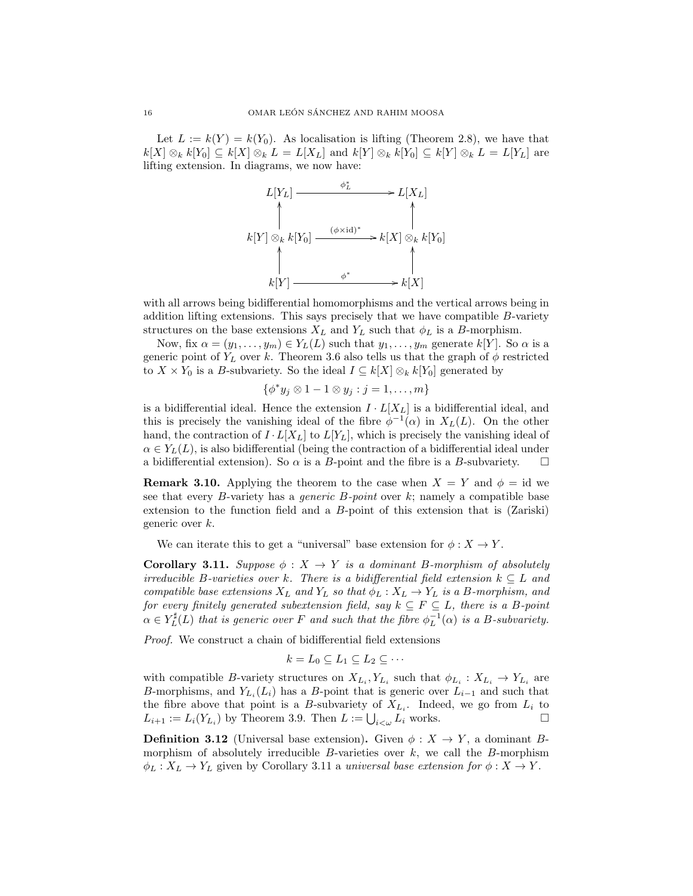Let  $L := k(Y) = k(Y_0)$ . As localisation is lifting (Theorem 2.8), we have that  $k[X] \otimes_k k[Y_0] \subseteq k[X] \otimes_k L = L[X_L]$  and  $k[Y] \otimes_k k[Y_0] \subseteq k[Y] \otimes_k L = L[Y_L]$  are lifting extension. In diagrams, we now have:



with all arrows being bidifferential homomorphisms and the vertical arrows being in addition lifting extensions. This says precisely that we have compatible B-variety structures on the base extensions  $X_L$  and  $Y_L$  such that  $\phi_L$  is a B-morphism.

Now, fix  $\alpha = (y_1, \ldots, y_m) \in Y_L(L)$  such that  $y_1, \ldots, y_m$  generate  $k[Y]$ . So  $\alpha$  is a generic point of  $Y_L$  over k. Theorem 3.6 also tells us that the graph of  $\phi$  restricted to  $X \times Y_0$  is a B-subvariety. So the ideal  $I \subseteq k[X] \otimes_k k[Y_0]$  generated by

$$
\{\phi^* y_j \otimes 1 - 1 \otimes y_j : j = 1, \ldots, m\}
$$

is a bidifferential ideal. Hence the extension  $I \cdot L[X_L]$  is a bidifferential ideal, and this is precisely the vanishing ideal of the fibre  $\phi^{-1}(\alpha)$  in  $X_L(L)$ . On the other hand, the contraction of  $I \cdot L[X_L]$  to  $L[Y_L]$ , which is precisely the vanishing ideal of  $\alpha \in Y_L(L)$ , is also bidifferential (being the contraction of a bidifferential ideal under a bidifferential extension). So  $\alpha$  is a B-point and the fibre is a B-subvariety.  $\square$ 

**Remark 3.10.** Applying the theorem to the case when  $X = Y$  and  $\phi = id$  we see that every  $B$ -variety has a *generic*  $B$ -point over  $k$ ; namely a compatible base extension to the function field and a B-point of this extension that is (Zariski) generic over k.

We can iterate this to get a "universal" base extension for  $\phi: X \to Y$ .

Corollary 3.11. Suppose  $\phi: X \to Y$  is a dominant B-morphism of absolutely irreducible B-varieties over k. There is a bidifferential field extension  $k \subseteq L$  and compatible base extensions  $X_L$  and  $Y_L$  so that  $\phi_L : X_L \to Y_L$  is a B-morphism, and for every finitely generated subextension field, say  $k \subseteq F \subseteq L$ , there is a B-point  $\alpha \in Y^{\sharp}_{L}(L)$  that is generic over F and such that the fibre  $\phi^{-1}_{L}(\alpha)$  is a B-subvariety.

Proof. We construct a chain of bidifferential field extensions

$$
k = L_0 \subseteq L_1 \subseteq L_2 \subseteq \cdots
$$

with compatible B-variety structures on  $X_{L_i}, Y_{L_i}$  such that  $\phi_{L_i}: X_{L_i} \to Y_{L_i}$  are B-morphisms, and  $Y_{L_i}(L_i)$  has a B-point that is generic over  $L_{i-1}$  and such that the fibre above that point is a B-subvariety of  $X_{L_i}$ . Indeed, we go from  $L_i$  to  $L_{i+1} := L_i(Y_{L_i})$  by Theorem 3.9. Then  $L := \bigcup_{i < \omega} L_i$  works.

**Definition 3.12** (Universal base extension). Given  $\phi: X \to Y$ , a dominant Bmorphism of absolutely irreducible  $B$ -varieties over  $k$ , we call the  $B$ -morphism  $\phi_L : X_L \to Y_L$  given by Corollary 3.11 a universal base extension for  $\phi : X \to Y$ .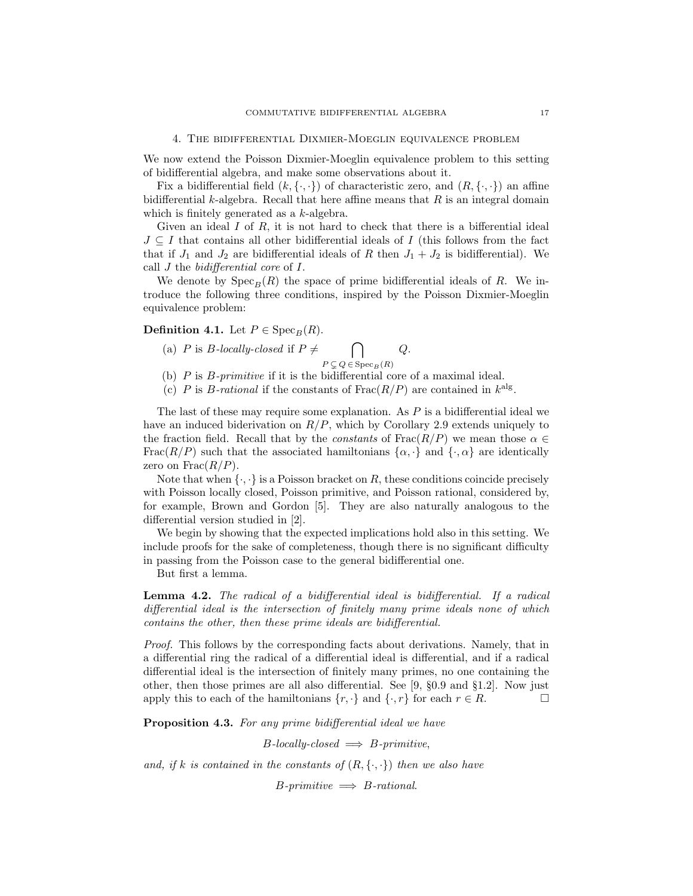We now extend the Poisson Dixmier-Moeglin equivalence problem to this setting of bidifferential algebra, and make some observations about it.

Fix a bidifferential field  $(k, \{\cdot, \cdot\})$  of characteristic zero, and  $(R, \{\cdot, \cdot\})$  an affine bidifferential  $k$ -algebra. Recall that here affine means that  $R$  is an integral domain which is finitely generated as a k-algebra.

Given an ideal  $I$  of  $R$ , it is not hard to check that there is a bifferential ideal  $J \subseteq I$  that contains all other bidifferential ideals of I (this follows from the fact that if  $J_1$  and  $J_2$  are bidifferential ideals of R then  $J_1 + J_2$  is bidifferential). We call  $J$  the *bidifferential core* of  $I$ .

We denote by  $Spec_B(R)$  the space of prime bidifferential ideals of R. We introduce the following three conditions, inspired by the Poisson Dixmier-Moeglin equivalence problem:

# **Definition 4.1.** Let  $P \in \text{Spec}_B(R)$ .

(a) P is B-locally-closed if  $P \neq$  $\bigcap$ 

$$
P \subsetneq Q \in \operatorname{Spec}_B(R)
$$

 $Q$ .

- (b)  $P$  is  $B$ -primitive if it is the bidifferential core of a maximal ideal.
- (c) P is B-rational if the constants of  $\text{Frac}(R/P)$  are contained in  $k^{\text{alg}}$ .

The last of these may require some explanation. As  $P$  is a bidifferential ideal we have an induced biderivation on  $R/P$ , which by Corollary 2.9 extends uniquely to the fraction field. Recall that by the *constants* of Frac $(R/P)$  we mean those  $\alpha \in$ Frac( $R/P$ ) such that the associated hamiltonians  $\{\alpha, \cdot\}$  and  $\{\cdot, \alpha\}$  are identically zero on  $Frac(R/P)$ .

Note that when  $\{\cdot,\cdot\}$  is a Poisson bracket on R, these conditions coincide precisely with Poisson locally closed, Poisson primitive, and Poisson rational, considered by, for example, Brown and Gordon [5]. They are also naturally analogous to the differential version studied in [2].

We begin by showing that the expected implications hold also in this setting. We include proofs for the sake of completeness, though there is no significant difficulty in passing from the Poisson case to the general bidifferential one.

But first a lemma.

Lemma 4.2. The radical of a bidifferential ideal is bidifferential. If a radical differential ideal is the intersection of finitely many prime ideals none of which contains the other, then these prime ideals are bidifferential.

Proof. This follows by the corresponding facts about derivations. Namely, that in a differential ring the radical of a differential ideal is differential, and if a radical differential ideal is the intersection of finitely many primes, no one containing the other, then those primes are all also differential. See [9, §0.9 and §1.2]. Now just apply this to each of the hamiltonians  $\{r, \cdot\}$  and  $\{\cdot, r\}$  for each  $r \in R$ .

Proposition 4.3. For any prime bidifferential ideal we have

 $B\text{-}locally-closed \implies B\text{-}primitive,$ 

and, if k is contained in the constants of  $(R, \{\cdot, \cdot\})$  then we also have

 $B\text{-}primitive \implies B\text{-}rational.$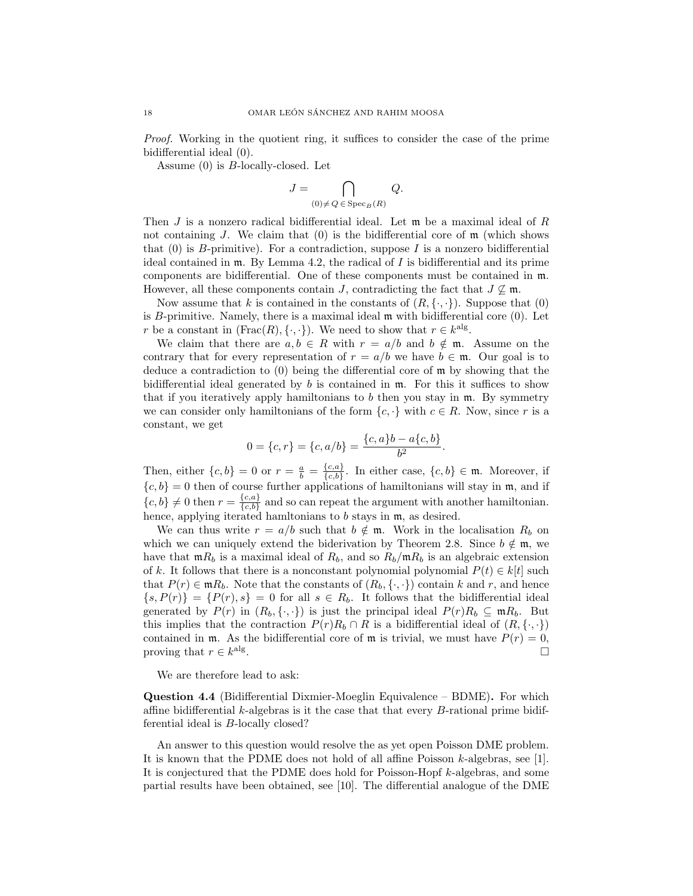Proof. Working in the quotient ring, it suffices to consider the case of the prime bidifferential ideal (0).

Assume (0) is B-locally-closed. Let

$$
J = \bigcap_{(0) \neq Q \in \operatorname{Spec}_B(R)} Q.
$$

Then  $J$  is a nonzero radical bidifferential ideal. Let  $\mathfrak m$  be a maximal ideal of  $R$ not containing J. We claim that  $(0)$  is the bidifferential core of  $\mathfrak{m}$  (which shows that  $(0)$  is B-primitive). For a contradiction, suppose I is a nonzero bidifferential ideal contained in  $m$ . By Lemma 4.2, the radical of I is bidifferential and its prime components are bidifferential. One of these components must be contained in m. However, all these components contain J, contradicting the fact that  $J \nsubseteq \mathfrak{m}$ .

Now assume that k is contained in the constants of  $(R, \{\cdot, \cdot\})$ . Suppose that (0) is  $B$ -primitive. Namely, there is a maximal ideal  $\mathfrak m$  with bidifferential core  $(0)$ . Let r be a constant in  $(\text{Frac}(R), \{\cdot, \cdot\})$ . We need to show that  $r \in k^{\text{alg}}$ .

We claim that there are  $a, b \in R$  with  $r = a/b$  and  $b \notin \mathfrak{m}$ . Assume on the contrary that for every representation of  $r = a/b$  we have  $b \in \mathfrak{m}$ . Our goal is to deduce a contradiction to (0) being the differential core of m by showing that the bidifferential ideal generated by  $b$  is contained in  $\mathfrak{m}$ . For this it suffices to show that if you iteratively apply hamiltonians to  $b$  then you stay in  $\mathfrak{m}$ . By symmetry we can consider only hamiltonians of the form  ${c, \cdot}$  with  $c \in R$ . Now, since r is a constant, we get

$$
0 = \{c, r\} = \{c, a/b\} = \frac{\{c, a\}b - a\{c, b\}}{b^2}.
$$

Then, either  $\{c, b\} = 0$  or  $r = \frac{a}{b} = \frac{\{c, a\}}{\{c, b\}}$  $\{\frac{c,a}{c,b}\}\$ . In either case,  $\{c,b\} \in \mathfrak{m}$ . Moreover, if  ${c, b} = 0$  then of course further applications of hamiltonians will stay in  $m$ , and if  ${c,b} \neq 0$  then  $r = \frac{{c,a}}{L_c}$  $\{\frac{c,a}{c,b}\}$  and so can repeat the argument with another hamiltonian. hence, applying iterated hamltonians to b stays in  $m$ , as desired.

We can thus write  $r = a/b$  such that  $b \notin \mathfrak{m}$ . Work in the localisation  $R_b$  on which we can uniquely extend the biderivation by Theorem 2.8. Since  $b \notin \mathfrak{m}$ , we have that  $mR_b$  is a maximal ideal of  $R_b$ , and so  $R_b/mR_b$  is an algebraic extension of k. It follows that there is a nonconstant polynomial polynomial  $P(t) \in k[t]$  such that  $P(r) \in \mathfrak{m} R_b$ . Note that the constants of  $(R_b, \{\cdot, \cdot\})$  contain k and r, and hence  ${s, P(r)} = {P(r), s} = 0$  for all  $s \in R_b$ . It follows that the bidifferential ideal generated by  $P(r)$  in  $(R_b, \{\cdot,\cdot\})$  is just the principal ideal  $P(r)R_b \subseteq \mathfrak{m}R_b$ . But this implies that the contraction  $P(r)R_b \cap R$  is a bidifferential ideal of  $(R, \{\cdot, \cdot\})$ contained in m. As the bidifferential core of m is trivial, we must have  $P(r) = 0$ , proving that  $r \in k^{\text{alg}}$ . В последните поставите на селото на селото на селото на селото на селото на селото на селото на селото на се<br>В селото на селото на селото на селото на селото на селото на селото на селото на селото на селото на селото н

We are therefore lead to ask:

Question 4.4 (Bidifferential Dixmier-Moeglin Equivalence – BDME). For which affine bidifferential  $k$ -algebras is it the case that that every  $B$ -rational prime bidifferential ideal is B-locally closed?

An answer to this question would resolve the as yet open Poisson DME problem. It is known that the PDME does not hold of all affine Poisson k-algebras, see [1]. It is conjectured that the PDME does hold for Poisson-Hopf k-algebras, and some partial results have been obtained, see [10]. The differential analogue of the DME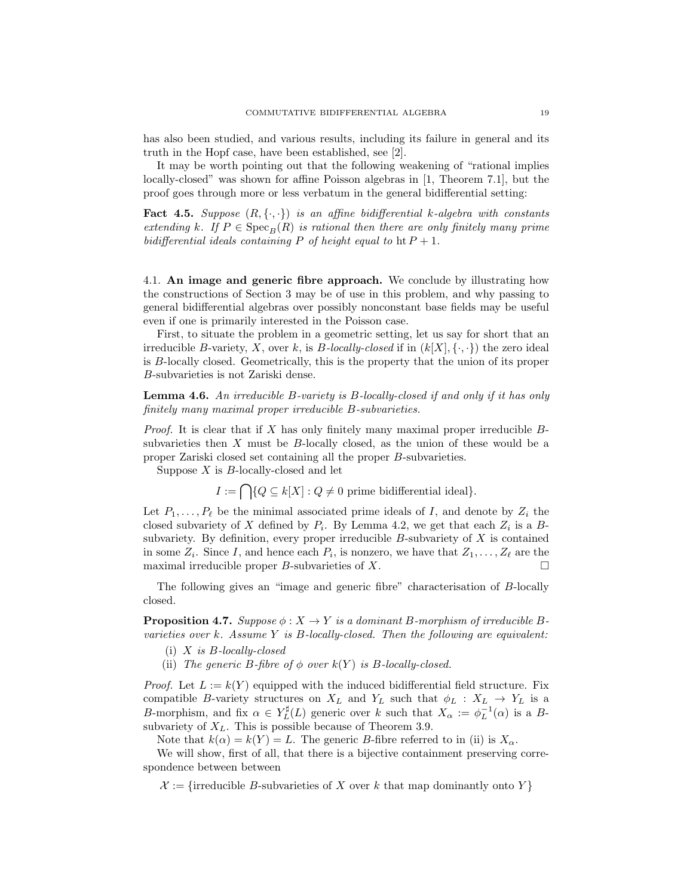has also been studied, and various results, including its failure in general and its truth in the Hopf case, have been established, see [2].

It may be worth pointing out that the following weakening of "rational implies locally-closed" was shown for affine Poisson algebras in [1, Theorem 7.1], but the proof goes through more or less verbatum in the general bidifferential setting:

**Fact 4.5.** Suppose  $(R, \{\cdot,\cdot\})$  is an affine bidifferential k-algebra with constants extending k. If  $P \in \text{Spec}_B(R)$  is rational then there are only finitely many prime bidifferential ideals containing P of height equal to  $ht P + 1$ .

4.1. An image and generic fibre approach. We conclude by illustrating how the constructions of Section 3 may be of use in this problem, and why passing to general bidifferential algebras over possibly nonconstant base fields may be useful even if one is primarily interested in the Poisson case.

First, to situate the problem in a geometric setting, let us say for short that an irreducible B-variety, X, over k, is B-locally-closed if in  $(k[X], \{\cdot, \cdot\})$  the zero ideal is B-locally closed. Geometrically, this is the property that the union of its proper B-subvarieties is not Zariski dense.

Lemma 4.6. An irreducible B-variety is B-locally-closed if and only if it has only finitely many maximal proper irreducible B-subvarieties.

*Proof.* It is clear that if  $X$  has only finitely many maximal proper irreducible  $B$ subvarieties then X must be B-locally closed, as the union of these would be a proper Zariski closed set containing all the proper B-subvarieties.

Suppose  $X$  is  $B$ -locally-closed and let

$$
I := \bigcap \{ Q \subseteq k[X] : Q \neq 0 \text{ prime bidifferential ideal} \}.
$$

Let  $P_1, \ldots, P_\ell$  be the minimal associated prime ideals of I, and denote by  $Z_i$  the closed subvariety of X defined by  $P_i$ . By Lemma 4.2, we get that each  $Z_i$  is a Bsubvariety. By definition, every proper irreducible  $B$ -subvariety of  $X$  is contained in some  $Z_i$ . Since I, and hence each  $P_i$ , is nonzero, we have that  $Z_1, \ldots, Z_\ell$  are the maximal irreducible proper *B*-subvarieties of  $X$ .

The following gives an "image and generic fibre" characterisation of B-locally closed.

**Proposition 4.7.** Suppose  $\phi: X \to Y$  is a dominant B-morphism of irreducible Bvarieties over  $k$ . Assume  $Y$  is  $B$ -locally-closed. Then the following are equivalent:

- (i)  $X$  is  $B$ -locally-closed
- (ii) The generic B-fibre of  $\phi$  over  $k(Y)$  is B-locally-closed.

*Proof.* Let  $L := k(Y)$  equipped with the induced bidifferential field structure. Fix compatible B-variety structures on  $X_L$  and  $Y_L$  such that  $\phi_L : X_L \to Y_L$  is a B-morphism, and fix  $\alpha \in Y^{\sharp}_L(L)$  generic over k such that  $X_{\alpha} := \phi^{-1}_L(\alpha)$  is a Bsubvariety of  $X_L$ . This is possible because of Theorem 3.9.

Note that  $k(\alpha) = k(Y) = L$ . The generic B-fibre referred to in (ii) is  $X_{\alpha}$ .

We will show, first of all, that there is a bijective containment preserving correspondence between between

 $\mathcal{X} := \{\text{irreducible } B\text{-subvarieties of } X \text{ over } k \text{ that map dominantly onto } Y\}$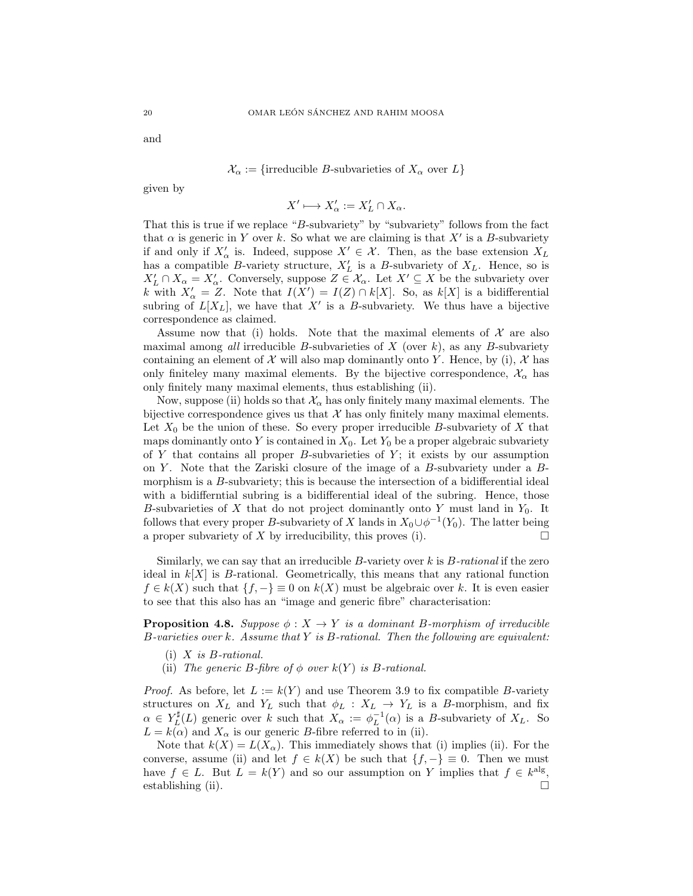and

$$
\mathcal{X}_{\alpha} := \{ \text{irreducible } B\text{-subvarieties of } X_{\alpha} \text{ over } L \}
$$

given by

$$
X' \longmapsto X'_{\alpha} := X'_{L} \cap X_{\alpha}.
$$

That this is true if we replace "B-subvariety" by "subvariety" follows from the fact that  $\alpha$  is generic in Y over k. So what we are claiming is that  $X'$  is a B-subvariety if and only if  $X'_\alpha$  is. Indeed, suppose  $X' \in \mathcal{X}$ . Then, as the base extension  $X_L$ has a compatible B-variety structure,  $X'_L$  is a B-subvariety of  $X_L$ . Hence, so is  $X'_L \cap X_\alpha = X'_\alpha$ . Conversely, suppose  $Z \in \mathcal{X}_\alpha$ . Let  $X' \subseteq X$  be the subvariety over k with  $X'_\alpha = Z$ . Note that  $I(X') = I(Z) \cap k[X]$ . So, as  $k[X]$  is a bidifferential subring of  $L[X_L]$ , we have that X' is a B-subvariety. We thus have a bijective correspondence as claimed.

Assume now that (i) holds. Note that the maximal elements of  $\mathcal X$  are also maximal among *all* irreducible B-subvarieties of  $X$  (over  $k$ ), as any B-subvariety containing an element of  $\mathcal X$  will also map dominantly onto Y. Hence, by (i),  $\mathcal X$  has only finiteley many maximal elements. By the bijective correspondence,  $\mathcal{X}_{\alpha}$  has only finitely many maximal elements, thus establishing (ii).

Now, suppose (ii) holds so that  $\mathcal{X}_{\alpha}$  has only finitely many maximal elements. The bijective correspondence gives us that  $X$  has only finitely many maximal elements. Let  $X_0$  be the union of these. So every proper irreducible B-subvariety of X that maps dominantly onto Y is contained in  $X_0$ . Let  $Y_0$  be a proper algebraic subvariety of Y that contains all proper  $B$ -subvarieties of  $Y$ ; it exists by our assumption on Y. Note that the Zariski closure of the image of a  $B$ -subvariety under a  $B$ morphism is a B-subvariety; this is because the intersection of a bidifferential ideal with a bidifferntial subring is a bidifferential ideal of the subring. Hence, those B-subvarieties of X that do not project dominantly onto Y must land in  $Y_0$ . It follows that every proper B-subvariety of X lands in  $X_0 \cup \phi^{-1}(Y_0)$ . The latter being a proper subvariety of X by irreducibility, this proves (i).

Similarly, we can say that an irreducible  $B$ -variety over  $k$  is  $B$ -rational if the zero ideal in  $k[X]$  is B-rational. Geometrically, this means that any rational function  $f \in k(X)$  such that  $\{f, -\} \equiv 0$  on  $k(X)$  must be algebraic over k. It is even easier to see that this also has an "image and generic fibre" characterisation:

**Proposition 4.8.** Suppose  $\phi: X \to Y$  is a dominant B-morphism of irreducible  $B$ -varieties over k. Assume that Y is  $B$ -rational. Then the following are equivalent:

- $(i)$  X is B-rational.
- (ii) The generic B-fibre of  $\phi$  over  $k(Y)$  is B-rational.

*Proof.* As before, let  $L := k(Y)$  and use Theorem 3.9 to fix compatible B-variety structures on  $X_L$  and  $Y_L$  such that  $\phi_L : X_L \to Y_L$  is a B-morphism, and fix  $\alpha \in Y_L^{\sharp}(L)$  generic over k such that  $X_{\alpha} := \phi_L^{-1}(\alpha)$  is a B-subvariety of  $X_L$ . So  $L = k(\alpha)$  and  $X_{\alpha}$  is our generic B-fibre referred to in (ii).

Note that  $k(X) = L(X_\alpha)$ . This immediately shows that (i) implies (ii). For the converse, assume (ii) and let  $f \in k(X)$  be such that  $\{f, -\} \equiv 0$ . Then we must have  $f \in L$ . But  $L = k(Y)$  and so our assumption on Y implies that  $f \in k^{\text{alg}}$ , establishing (ii).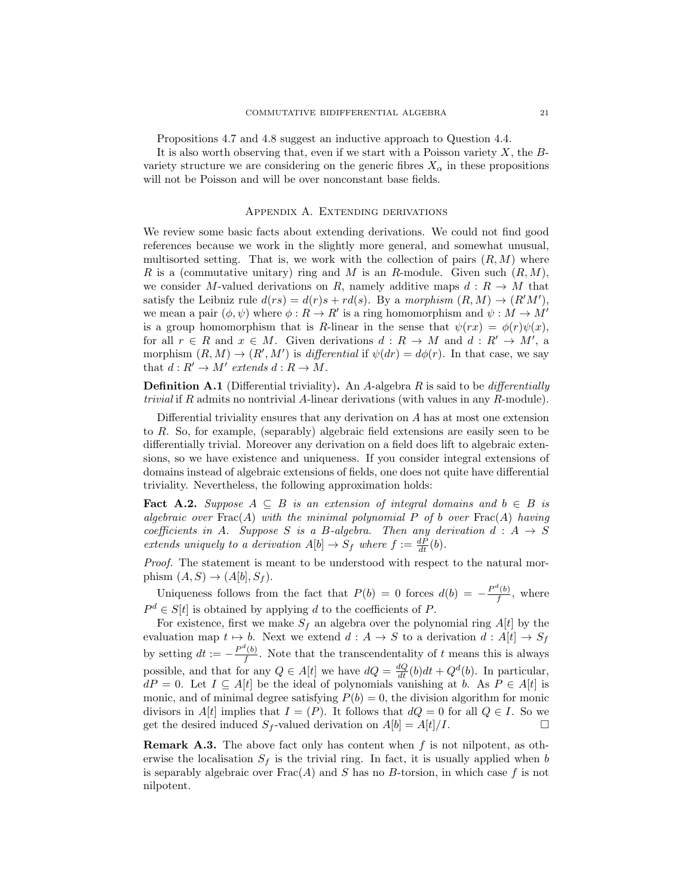Propositions 4.7 and 4.8 suggest an inductive approach to Question 4.4.

It is also worth observing that, even if we start with a Poisson variety  $X$ , the  $B$ variety structure we are considering on the generic fibres  $X_{\alpha}$  in these propositions will not be Poisson and will be over nonconstant base fields.

### Appendix A. Extending derivations

We review some basic facts about extending derivations. We could not find good references because we work in the slightly more general, and somewhat unusual, multisorted setting. That is, we work with the collection of pairs  $(R, M)$  where R is a (commutative unitary) ring and M is an R-module. Given such  $(R, M)$ , we consider M-valued derivations on R, namely additive maps  $d: R \to M$  that satisfy the Leibniz rule  $d(rs) = d(r)s + rd(s)$ . By a morphism  $(R, M) \rightarrow (R'M')$ , we mean a pair  $(\phi, \psi)$  where  $\phi : R \to R'$  is a ring homomorphism and  $\psi : M \to M'$ is a group homomorphism that is R-linear in the sense that  $\psi(rx) = \phi(r)\psi(x)$ , for all  $r \in R$  and  $x \in M$ . Given derivations  $d: R \to M$  and  $d: R' \to M'$ , a morphism  $(R, M) \to (R', M')$  is differential if  $\psi(dr) = d\phi(r)$ . In that case, we say that  $d: R' \to M'$  extends  $d: R \to M$ .

**Definition A.1** (Differential triviality). An A-algebra  $R$  is said to be differentially trivial if R admits no nontrivial A-linear derivations (with values in any R-module).

Differential triviality ensures that any derivation on A has at most one extension to R. So, for example, (separably) algebraic field extensions are easily seen to be differentially trivial. Moreover any derivation on a field does lift to algebraic extensions, so we have existence and uniqueness. If you consider integral extensions of domains instead of algebraic extensions of fields, one does not quite have differential triviality. Nevertheless, the following approximation holds:

**Fact A.2.** Suppose  $A \subseteq B$  is an extension of integral domains and  $b \in B$  is algebraic over  $\text{Frac}(A)$  with the minimal polynomial P of b over  $\text{Frac}(A)$  having coefficients in A. Suppose S is a B-algebra. Then any derivation  $d : A \rightarrow S$ extends uniquely to a derivation  $A[b] \rightarrow S_f$  where  $f := \frac{dP}{dt}(b)$ .

Proof. The statement is meant to be understood with respect to the natural morphism  $(A, S) \rightarrow (A[b], S_f)$ .

Uniqueness follows from the fact that  $P(b) = 0$  forces  $d(b) = -\frac{P^d(b)}{f}$  $\frac{f(b)}{f}$ , where  $P^d \in S[t]$  is obtained by applying d to the coefficients of P.

For existence, first we make  $S_f$  an algebra over the polynomial ring  $A[t]$  by the evaluation map  $t \mapsto b$ . Next we extend  $d : A \to S$  to a derivation  $d : A[t] \to S_f$ by setting  $dt := -\frac{P^d(b)}{f}$  $\frac{f^{(0)}}{f}$ . Note that the transcendentality of t means this is always possible, and that for any  $Q \in A[t]$  we have  $dQ = \frac{dQ}{dt}(b)dt + Q^d(b)$ . In particular,  $dP = 0$ . Let  $I \subseteq A[t]$  be the ideal of polynomials vanishing at b. As  $P \in A[t]$  is monic, and of minimal degree satisfying  $P(b) = 0$ , the division algorithm for monic divisors in A[t] implies that  $I = (P)$ . It follows that  $dQ = 0$  for all  $Q \in I$ . So we get the desired induced  $S_f$ -valued derivation on  $A[b] = A[t]/I$ .

**Remark A.3.** The above fact only has content when  $f$  is not nilpotent, as otherwise the localisation  $S_f$  is the trivial ring. In fact, it is usually applied when b is separably algebraic over  $Frac(A)$  and S has no B-torsion, in which case f is not nilpotent.